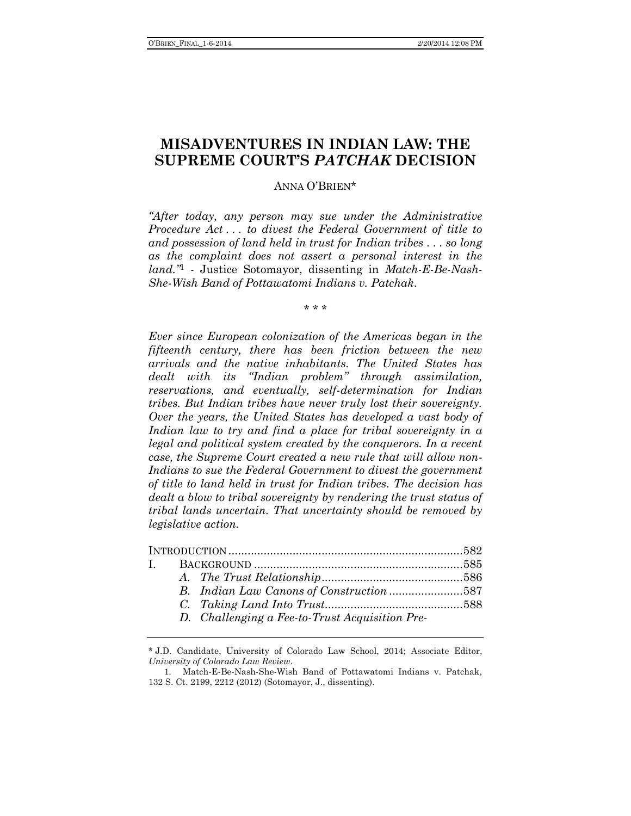# **MISADVENTURES IN INDIAN LAW: THE SUPREME COURT'S** *PATCHAK* **DECISION**

## ANNA O'BRIEN\*

*"After today, any person may sue under the Administrative Procedure Act . . . to divest the Federal Government of title to and possession of land held in trust for Indian tribes . . . so long as the complaint does not assert a personal interest in the land."* 1 - Justice Sotomayor, dissenting in *Match-E-Be-Nash-She-Wish Band of Pottawatomi Indians v. Patchak*.

\* \* \*

*Ever since European colonization of the Americas began in the fifteenth century, there has been friction between the new arrivals and the native inhabitants. The United States has dealt with its "Indian problem" through assimilation, reservations, and eventually, self-determination for Indian tribes. But Indian tribes have never truly lost their sovereignty. Over the years, the United States has developed a vast body of Indian law to try and find a place for tribal sovereignty in a legal and political system created by the conquerors. In a recent case, the Supreme Court created a new rule that will allow non-Indians to sue the Federal Government to divest the government of title to land held in trust for Indian tribes. The decision has dealt a blow to tribal sovereignty by rendering the trust status of tribal lands uncertain. That uncertainty should be removed by legislative action.*

|  | D. Challenging a Fee-to-Trust Acquisition Pre- |  |
|--|------------------------------------------------|--|

<sup>\*</sup> J.D. Candidate, University of Colorado Law School, 2014; Associate Editor, *University of Colorado Law Review*.

<sup>1</sup>. Match-E-Be-Nash-She-Wish Band of Pottawatomi Indians v. Patchak, 132 S. Ct. 2199, 2212 (2012) (Sotomayor, J., dissenting).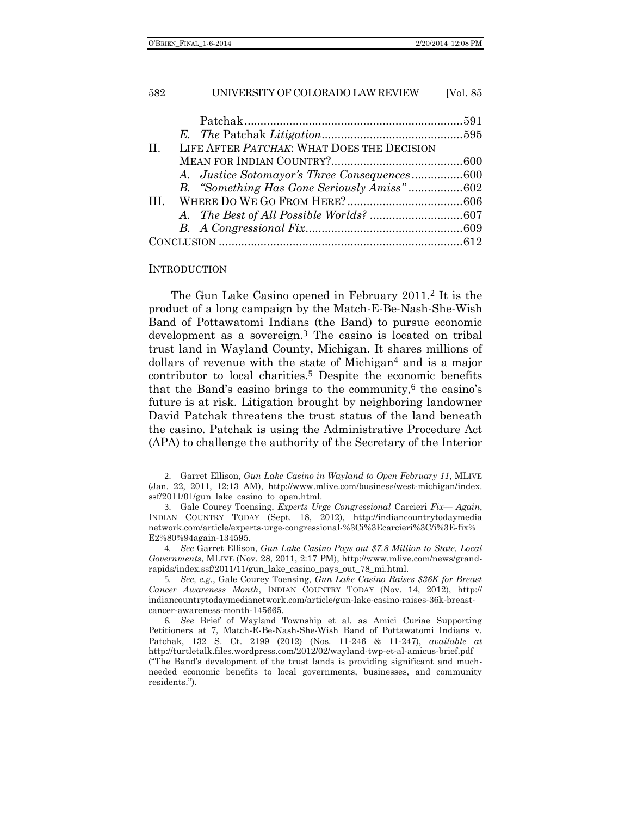| LIFE AFTER PATCHAK: WHAT DOES THE DECISION<br>$\Pi$ . |  |  |
|-------------------------------------------------------|--|--|
|                                                       |  |  |
|                                                       |  |  |
| B. "Something Has Gone Seriously Amiss"602            |  |  |
|                                                       |  |  |
|                                                       |  |  |
|                                                       |  |  |
|                                                       |  |  |

#### INTRODUCTION

<span id="page-1-0"></span>The Gun Lake Casino opened in February 2011.2 It is the product of a long campaign by the Match-E-Be-Nash-She-Wish Band of Pottawatomi Indians (the Band) to pursue economic development as a sovereign.3 The casino is located on tribal trust land in Wayland County, Michigan. It shares millions of dollars of revenue with the state of Michigan<sup>4</sup> and is a major contributor to local charities.<sup>5</sup> Despite the economic benefits that the Band's casino brings to the community, $6$  the casino's future is at risk. Litigation brought by neighboring landowner David Patchak threatens the trust status of the land beneath the casino. Patchak is using the Administrative Procedure Act (APA) to challenge the authority of the Secretary of the Interior

<sup>2</sup>. Garret Ellison, *Gun Lake Casino in Wayland to Open February 11*, MLIVE (Jan. 22, 2011, 12:13 AM), http://www.mlive.com/business/west-michigan/index. ssf/2011/01/gun\_lake\_casino\_to\_open.html.

<sup>3</sup>. Gale Courey Toensing, *Experts Urge Congressional* Carcieri *Fix— Again*, INDIAN COUNTRY TODAY (Sept. 18, 2012), http://indiancountrytodaymedia network.com/article/experts-urge-congressional-%3Ci%3Ecarcieri%3C/i%3E-fix% E2%80%94again-134595.

<sup>4</sup>*. See* Garret Ellison, *Gun Lake Casino Pays out \$7.8 Million to State, Local Governments*, MLIVE (Nov. 28, 2011, 2:17 PM), http://www.mlive.com/news/grandrapids/index.ssf/2011/11/gun\_lake\_casino\_pays\_out\_78\_mi.html.

<sup>5</sup>*. See, e.g.*, Gale Courey Toensing, *Gun Lake Casino Raises \$36K for Breast Cancer Awareness Month*, INDIAN COUNTRY TODAY (Nov. 14, 2012), http:// indiancountrytodaymedianetwork.com/article/gun-lake-casino-raises-36k-breastcancer-awareness-month-145665.

<sup>6</sup>*. See* Brief of Wayland Township et al. as Amici Curiae Supporting Petitioners at 7, Match-E-Be-Nash-She-Wish Band of Pottawatomi Indians v. Patchak, 132 S. Ct. 2199 (2012) (Nos. 11-246 & 11-247), *available at* http://turtletalk.files.wordpress.com/2012/02/wayland-twp-et-al-amicus-brief.pdf ("The Band's development of the trust lands is providing significant and muchneeded economic benefits to local governments, businesses, and community residents.").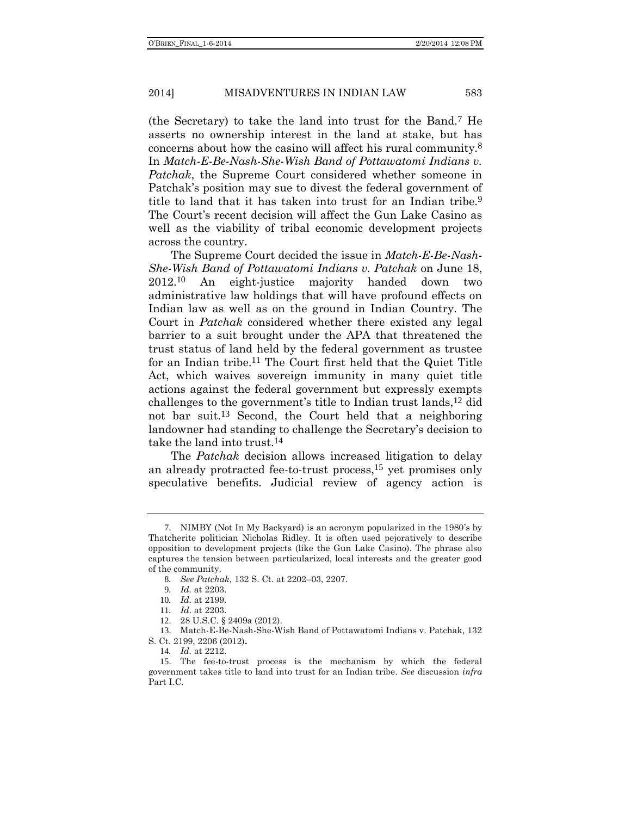(the Secretary) to take the land into trust for the Band.7 He asserts no ownership interest in the land at stake, but has concerns about how the casino will affect his rural community.8 In *Match-E-Be-Nash-She-Wish Band of Pottawatomi Indians v. Patchak*, the Supreme Court considered whether someone in Patchak's position may sue to divest the federal government of title to land that it has taken into trust for an Indian tribe.9 The Court's recent decision will affect the Gun Lake Casino as well as the viability of tribal economic development projects across the country.

The Supreme Court decided the issue in *Match-E-Be-Nash-She-Wish Band of Pottawatomi Indians v. Patchak* on June 18,  $2012.10$ An eight-justice majority handed down two administrative law holdings that will have profound effects on Indian law as well as on the ground in Indian Country. The Court in *Patchak* considered whether there existed any legal barrier to a suit brought under the APA that threatened the trust status of land held by the federal government as trustee for an Indian tribe.11 The Court first held that the Quiet Title Act, which waives sovereign immunity in many quiet title actions against the federal government but expressly exempts challenges to the government's title to Indian trust lands,12 did not bar suit.13 Second, the Court held that a neighboring landowner had standing to challenge the Secretary's decision to take the land into trust.14

The *Patchak* decision allows increased litigation to delay an already protracted fee-to-trust process,15 yet promises only speculative benefits. Judicial review of agency action is

<sup>7</sup>. NIMBY (Not In My Backyard) is an acronym popularized in the 1980's by Thatcherite politician Nicholas Ridley. It is often used pejoratively to describe opposition to development projects (like the Gun Lake Casino). The phrase also captures the tension between particularized, local interests and the greater good of the community.

<sup>8</sup>*. See Patchak*, 132 S. Ct. at 2202–03, 2207.

<sup>9</sup>*. Id.* at 2203.

<sup>10</sup>*. Id.* at 2199.

<sup>11</sup>*. Id*. at 2203.

<sup>28</sup> U.S.C. § 2409a (2012).

<sup>13</sup>. Match-E-Be-Nash-She-Wish Band of Pottawatomi Indians v. Patchak, 132 S. Ct. 2199, 2206 (2012)**.**

<sup>14</sup>*. Id.* at 2212.

<sup>15</sup>. The fee-to-trust process is the mechanism by which the federal government takes title to land into trust for an Indian tribe. *See* discussion *infra* Part I.C.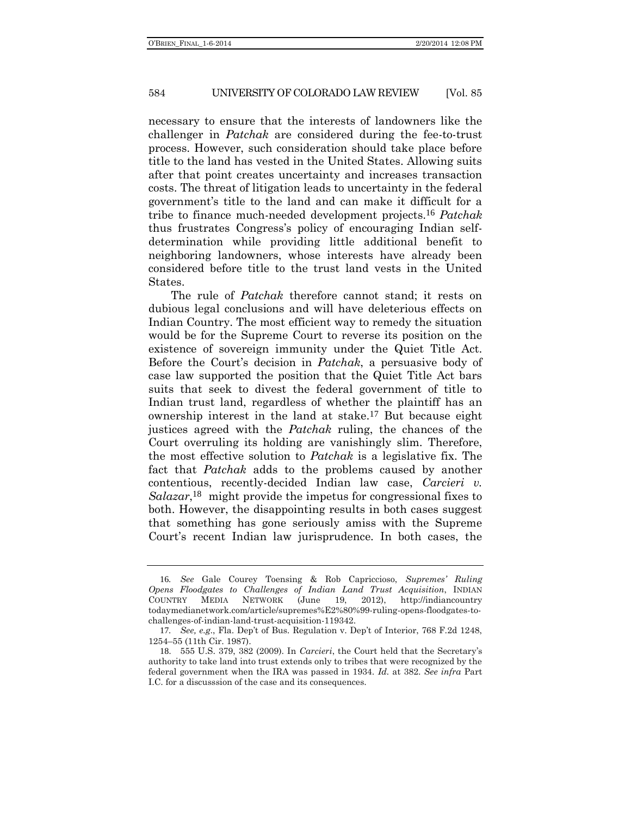necessary to ensure that the interests of landowners like the challenger in *Patchak* are considered during the fee-to-trust process. However, such consideration should take place before title to the land has vested in the United States. Allowing suits after that point creates uncertainty and increases transaction costs. The threat of litigation leads to uncertainty in the federal government's title to the land and can make it difficult for a tribe to finance much-needed development projects.16 *Patchak* thus frustrates Congress's policy of encouraging Indian selfdetermination while providing little additional benefit to neighboring landowners, whose interests have already been considered before title to the trust land vests in the United States.

The rule of *Patchak* therefore cannot stand; it rests on dubious legal conclusions and will have deleterious effects on Indian Country. The most efficient way to remedy the situation would be for the Supreme Court to reverse its position on the existence of sovereign immunity under the Quiet Title Act. Before the Court's decision in *Patchak*, a persuasive body of case law supported the position that the Quiet Title Act bars suits that seek to divest the federal government of title to Indian trust land, regardless of whether the plaintiff has an ownership interest in the land at stake.17 But because eight justices agreed with the *Patchak* ruling, the chances of the Court overruling its holding are vanishingly slim. Therefore, the most effective solution to *Patchak* is a legislative fix. The fact that *Patchak* adds to the problems caused by another contentious, recently-decided Indian law case, *Carcieri v.*  Salazar,<sup>18</sup> might provide the impetus for congressional fixes to both. However, the disappointing results in both cases suggest that something has gone seriously amiss with the Supreme Court's recent Indian law jurisprudence. In both cases, the

<sup>16</sup>*. See* Gale Courey Toensing & Rob Capriccioso, *Supremes' Ruling Opens Floodgates to Challenges of Indian Land Trust Acquisition*, INDIAN COUNTRY MEDIA NETWORK (June 19, 2012), http://indiancountry todaymedianetwork.com/article/supremes%E2%80%99-ruling-opens-floodgates-tochallenges-of-indian-land-trust-acquisition-119342.

<sup>17</sup>*. See, e.g*., Fla. Dep't of Bus*.* Regulation v. Dep't of Interior, 768 F.2d 1248, 1254–55 (11th Cir. 1987).

<sup>18</sup>. 555 U.S. 379, 382 (2009). In *Carcieri*, the Court held that the Secretary's authority to take land into trust extends only to tribes that were recognized by the federal government when the IRA was passed in 1934. *Id.* at 382. *See infra* Part I.C. for a discusssion of the case and its consequences.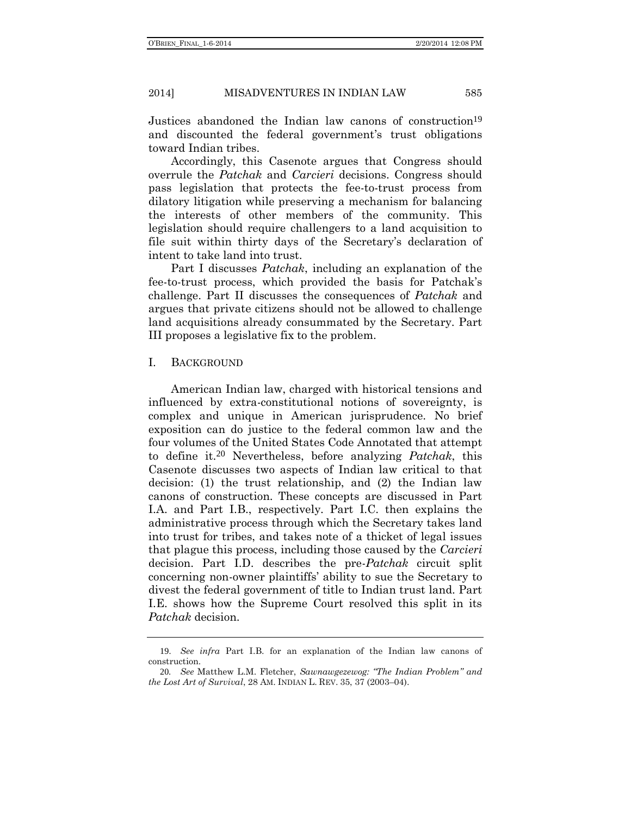Justices abandoned the Indian law canons of construction<sup>19</sup> and discounted the federal government's trust obligations toward Indian tribes.

Accordingly, this Casenote argues that Congress should overrule the *Patchak* and *Carcieri* decisions. Congress should pass legislation that protects the fee-to-trust process from dilatory litigation while preserving a mechanism for balancing the interests of other members of the community. This legislation should require challengers to a land acquisition to file suit within thirty days of the Secretary's declaration of intent to take land into trust.

Part I discusses *Patchak*, including an explanation of the fee-to-trust process, which provided the basis for Patchak's challenge. Part II discusses the consequences of *Patchak* and argues that private citizens should not be allowed to challenge land acquisitions already consummated by the Secretary. Part III proposes a legislative fix to the problem.

#### I. BACKGROUND

American Indian law, charged with historical tensions and influenced by extra-constitutional notions of sovereignty, is complex and unique in American jurisprudence. No brief exposition can do justice to the federal common law and the four volumes of the United States Code Annotated that attempt to define it.20 Nevertheless, before analyzing *Patchak*, this Casenote discusses two aspects of Indian law critical to that decision: (1) the trust relationship, and (2) the Indian law canons of construction. These concepts are discussed in Part I.A. and Part I.B., respectively. Part I.C. then explains the administrative process through which the Secretary takes land into trust for tribes, and takes note of a thicket of legal issues that plague this process, including those caused by the *Carcieri* decision. Part I.D. describes the pre-*Patchak* circuit split concerning non-owner plaintiffs' ability to sue the Secretary to divest the federal government of title to Indian trust land. Part I.E. shows how the Supreme Court resolved this split in its *Patchak* decision.

<sup>19</sup>. *See infra* Part I.B. for an explanation of the Indian law canons of construction.

<sup>20</sup>*. See* Matthew L.M. Fletcher, *Sawnawgezewog: "The Indian Problem" and the Lost Art of Survival*, 28 AM. INDIAN L. REV. 35, 37 (2003–04).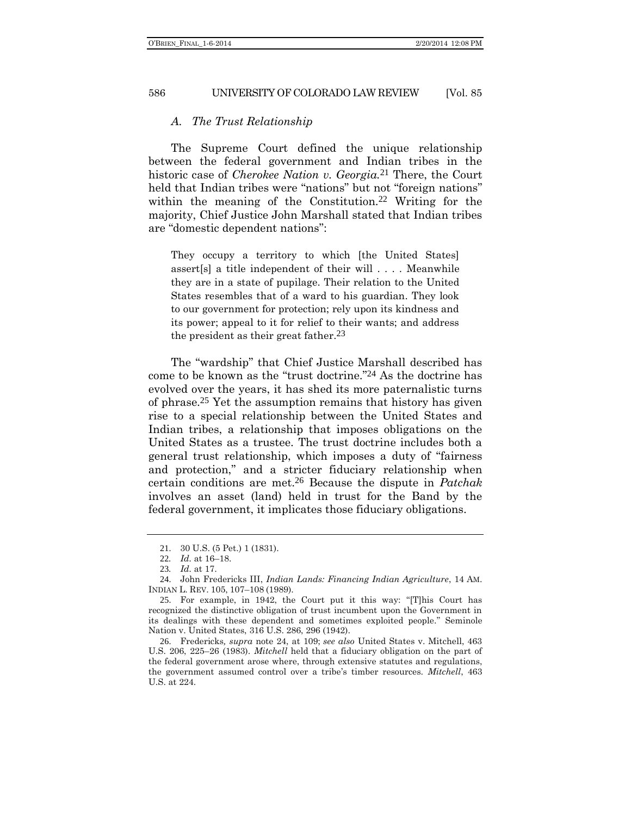## *A. The Trust Relationship*

The Supreme Court defined the unique relationship between the federal government and Indian tribes in the historic case of *Cherokee Nation v. Georgia.*21 There, the Court held that Indian tribes were "nations" but not "foreign nations" within the meaning of the Constitution.<sup>22</sup> Writing for the majority, Chief Justice John Marshall stated that Indian tribes are "domestic dependent nations":

They occupy a territory to which [the United States] assert[s] a title independent of their will . . . . Meanwhile they are in a state of pupilage. Their relation to the United States resembles that of a ward to his guardian. They look to our government for protection; rely upon its kindness and its power; appeal to it for relief to their wants; and address the president as their great father.<sup>23</sup>

<span id="page-5-0"></span>The "wardship" that Chief Justice Marshall described has come to be known as the "trust doctrine." 24 As the doctrine has evolved over the years, it has shed its more paternalistic turns of phrase.25 Yet the assumption remains that history has given rise to a special relationship between the United States and Indian tribes, a relationship that imposes obligations on the United States as a trustee. The trust doctrine includes both a general trust relationship, which imposes a duty of "fairness and protection," and a stricter fiduciary relationship when certain conditions are met.26 Because the dispute in *Patchak* involves an asset (land) held in trust for the Band by the federal government, it implicates those fiduciary obligations.

<sup>21</sup>. 30 U.S. (5 Pet.) 1 (1831).

<sup>22</sup>*. Id.* at 16–18.

<sup>23</sup>*. Id.* at 17.

<sup>24</sup>. John Fredericks III, *Indian Lands: Financing Indian Agriculture*, 14 AM. INDIAN L. REV. 105, 107–108 (1989).

<sup>25</sup>. For example, in 1942, the Court put it this way: "[T]his Court has recognized the distinctive obligation of trust incumbent upon the Government in its dealings with these dependent and sometimes exploited people." Seminole Nation v. United States, 316 U.S. 286, 296 (1942).

<sup>26</sup>. Fredericks*, supra* note [24,](#page-5-0) at 109; *see also* United States v. Mitchell, 463 U.S. 206, 225–26 (1983). *Mitchell* held that a fiduciary obligation on the part of the federal government arose where, through extensive statutes and regulations, the government assumed control over a tribe's timber resources. *Mitchell*, 463 U.S. at 224.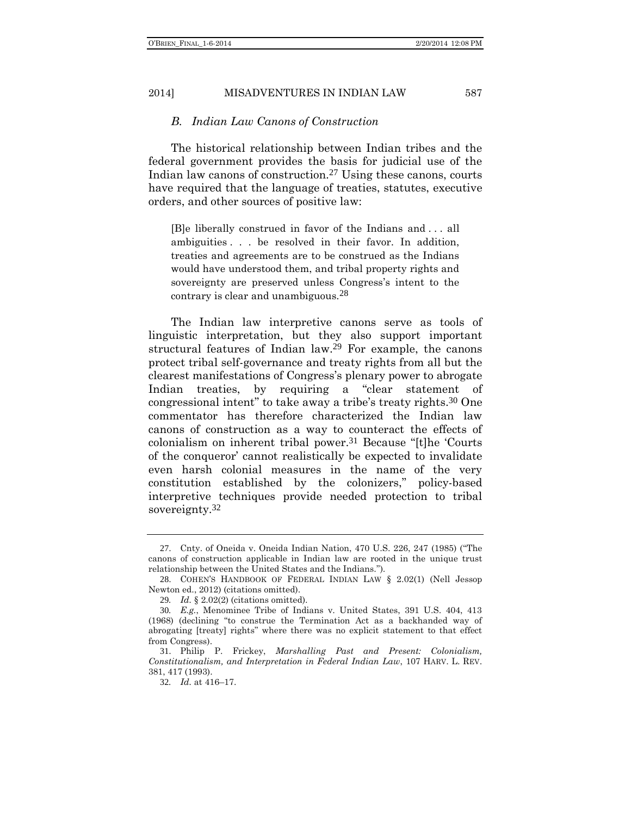## *B. Indian Law Canons of Construction*

The historical relationship between Indian tribes and the federal government provides the basis for judicial use of the Indian law canons of construction.27 Using these canons, courts have required that the language of treaties, statutes, executive orders, and other sources of positive law:

<span id="page-6-0"></span>[B]e liberally construed in favor of the Indians and . . . all ambiguities . . . be resolved in their favor. In addition, treaties and agreements are to be construed as the Indians would have understood them, and tribal property rights and sovereignty are preserved unless Congress's intent to the contrary is clear and unambiguous.28

The Indian law interpretive canons serve as tools of linguistic interpretation, but they also support important structural features of Indian law.29 For example, the canons protect tribal self-governance and treaty rights from all but the clearest manifestations of Congress's plenary power to abrogate Indian treaties, by requiring a "clear statement of congressional intent" to take away a tribe's treaty rights.30 One commentator has therefore characterized the Indian law canons of construction as a way to counteract the effects of colonialism on inherent tribal power.31 Because "[t]he 'Courts of the conqueror' cannot realistically be expected to invalidate even harsh colonial measures in the name of the very constitution established by the colonizers," policy-based interpretive techniques provide needed protection to tribal sovereignty.<sup>32</sup>

<sup>27</sup>. Cnty. of Oneida v. Oneida Indian Nation, 470 U.S. 226, 247 (1985) ("The canons of construction applicable in Indian law are rooted in the unique trust relationship between the United States and the Indians.").

<sup>28</sup>. COHEN'S HANDBOOK OF FEDERAL INDIAN LAW § 2.02(1) (Nell Jessop Newton ed., 2012) (citations omitted).

<sup>29</sup>*. Id.* § 2.02(2) (citations omitted).

<sup>30</sup>*. E.g.*, Menominee Tribe of Indians v. United States, 391 U.S. 404, 413 (1968) (declining "to construe the Termination Act as a backhanded way of abrogating [treaty] rights" where there was no explicit statement to that effect from Congress).

<sup>31</sup>. Philip P. Frickey, *Marshalling Past and Present: Colonialism, Constitutionalism, and Interpretation in Federal Indian Law*, 107 HARV. L. REV. 381, 417 (1993).

<sup>32</sup>*. Id.* at 416–17.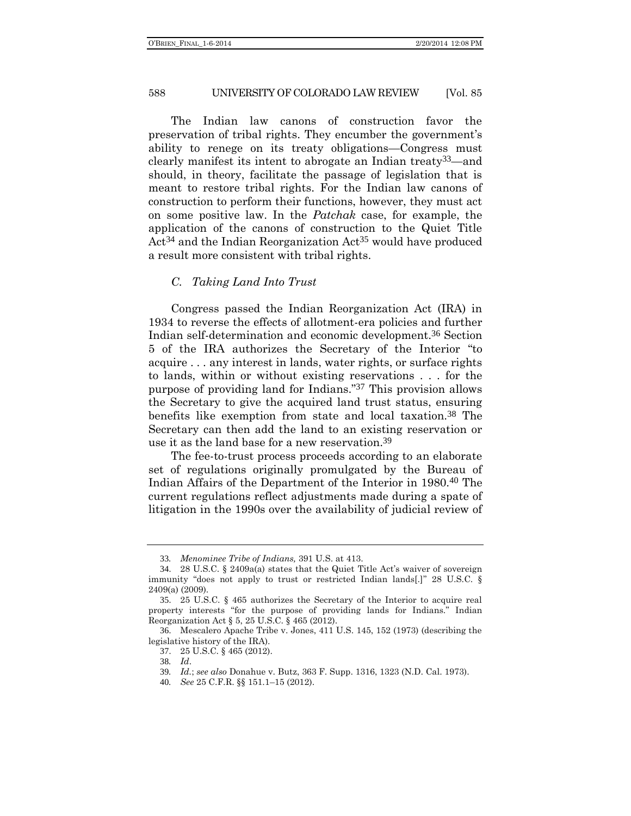The Indian law canons of construction favor the preservation of tribal rights. They encumber the government's ability to renege on its treaty obligations—Congress must clearly manifest its intent to abrogate an Indian treaty33—and should, in theory, facilitate the passage of legislation that is meant to restore tribal rights. For the Indian law canons of construction to perform their functions, however, they must act on some positive law. In the *Patchak* case, for example, the application of the canons of construction to the Quiet Title Act<sup>34</sup> and the Indian Reorganization Act<sup>35</sup> would have produced a result more consistent with tribal rights.

## *C. Taking Land Into Trust*

Congress passed the Indian Reorganization Act (IRA) in 1934 to reverse the effects of allotment-era policies and further Indian self-determination and economic development.36 Section 5 of the IRA authorizes the Secretary of the Interior "to acquire . . . any interest in lands, water rights, or surface rights to lands, within or without existing reservations . . . for the purpose of providing land for Indians." 37 This provision allows the Secretary to give the acquired land trust status, ensuring benefits like exemption from state and local taxation.38 The Secretary can then add the land to an existing reservation or use it as the land base for a new reservation.39

The fee-to-trust process proceeds according to an elaborate set of regulations originally promulgated by the Bureau of Indian Affairs of the Department of the Interior in 1980.40 The current regulations reflect adjustments made during a spate of litigation in the 1990s over the availability of judicial review of

<sup>33</sup>*. Menominee Tribe of Indians,* 391 U.S. at 413.

<sup>34</sup>. 28 U.S.C. § 2409a(a) states that the Quiet Title Act's waiver of sovereign immunity "does not apply to trust or restricted Indian lands[.]" 28 U.S.C. § 2409(a) (2009).

<sup>35</sup>. 25 U.S.C. § 465 authorizes the Secretary of the Interior to acquire real property interests "for the purpose of providing lands for Indians." Indian Reorganization Act § 5, 25 U.S.C. § 465 (2012).

<sup>36</sup>. Mescalero Apache Tribe v. Jones, 411 U.S. 145, 152 (1973) (describing the legislative history of the IRA).

<sup>37</sup>. 25 U.S.C. § 465 (2012).

<sup>38</sup>*. Id*.

<sup>39</sup>*. Id.*; *see also* Donahue v. Butz, 363 F. Supp. 1316, 1323 (N.D. Cal. 1973).

<sup>40</sup>*. See* 25 C.F.R. §§ 151.1–15 (2012).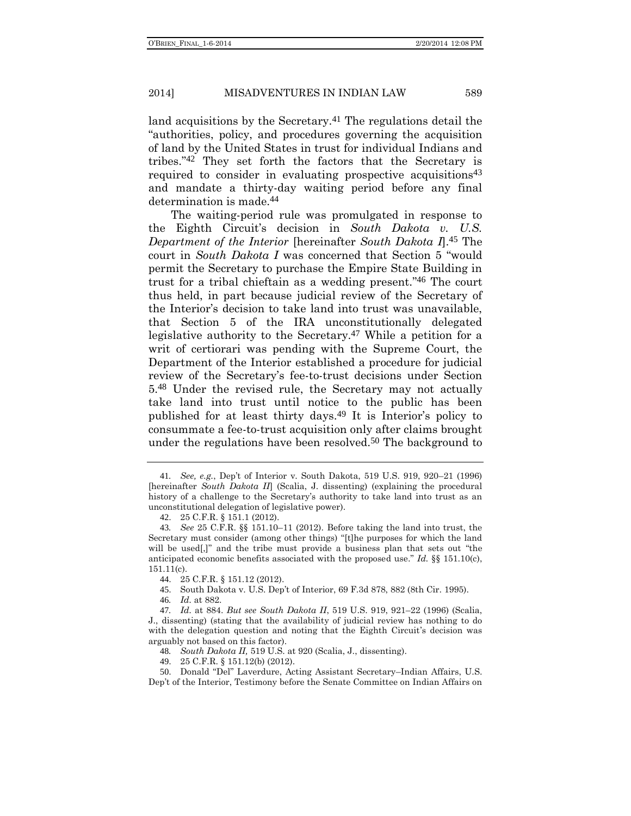land acquisitions by the Secretary.<sup>41</sup> The regulations detail the "authorities, policy, and procedures governing the acquisition of land by the United States in trust for individual Indians and tribes." 42 They set forth the factors that the Secretary is required to consider in evaluating prospective acquisitions<sup>43</sup> and mandate a thirty-day waiting period before any final determination is made.44

The waiting-period rule was promulgated in response to the Eighth Circuit's decision in *South Dakota v. U.S. Department of the Interior* [hereinafter *South Dakota I*].45 The court in *South Dakota I* was concerned that Section 5 "would permit the Secretary to purchase the Empire State Building in trust for a tribal chieftain as a wedding present." 46 The court thus held, in part because judicial review of the Secretary of the Interior's decision to take land into trust was unavailable, that Section 5 of the IRA unconstitutionally delegated legislative authority to the Secretary.<sup>47</sup> While a petition for a writ of certiorari was pending with the Supreme Court, the Department of the Interior established a procedure for judicial review of the Secretary's fee-to-trust decisions under Section 5.48 Under the revised rule, the Secretary may not actually take land into trust until notice to the public has been published for at least thirty days.49 It is Interior's policy to consummate a fee-to-trust acquisition only after claims brought under the regulations have been resolved.50 The background to

45. South Dakota v. U.S. Dep't of Interior, 69 F.3d 878, 882 (8th Cir. 1995).

46*. Id.* at 882.

48*. South Dakota II,* 519 U.S. at 920 (Scalia, J., dissenting).

<sup>41</sup>*. See, e.g.*, Dep't of Interior v. South Dakota, 519 U.S. 919, 920–21 (1996) [hereinafter *South Dakota II*] (Scalia, J. dissenting) (explaining the procedural history of a challenge to the Secretary's authority to take land into trust as an unconstitutional delegation of legislative power).

<sup>42</sup>. 25 C.F.R. § 151.1 (2012).

<sup>43</sup>*. See* 25 C.F.R. §§ 151.10–11 (2012). Before taking the land into trust, the Secretary must consider (among other things) "[t]he purposes for which the land will be used[,]" and the tribe must provide a business plan that sets out "the anticipated economic benefits associated with the proposed use." *Id.* §§ 151.10(c), 151.11(c).

<sup>44</sup>. 25 C.F.R. § 151.12 (2012).

<sup>47</sup>*. Id.* at 884. *But see South Dakota II*, 519 U.S. 919, 921–22 (1996) (Scalia, J., dissenting) (stating that the availability of judicial review has nothing to do with the delegation question and noting that the Eighth Circuit's decision was arguably not based on this factor).

<sup>49</sup>. 25 C.F.R. § 151.12(b) (2012).

<sup>50</sup>. Donald "Del" Laverdure, Acting Assistant Secretary–Indian Affairs, U.S. Dep't of the Interior, Testimony before the Senate Committee on Indian Affairs on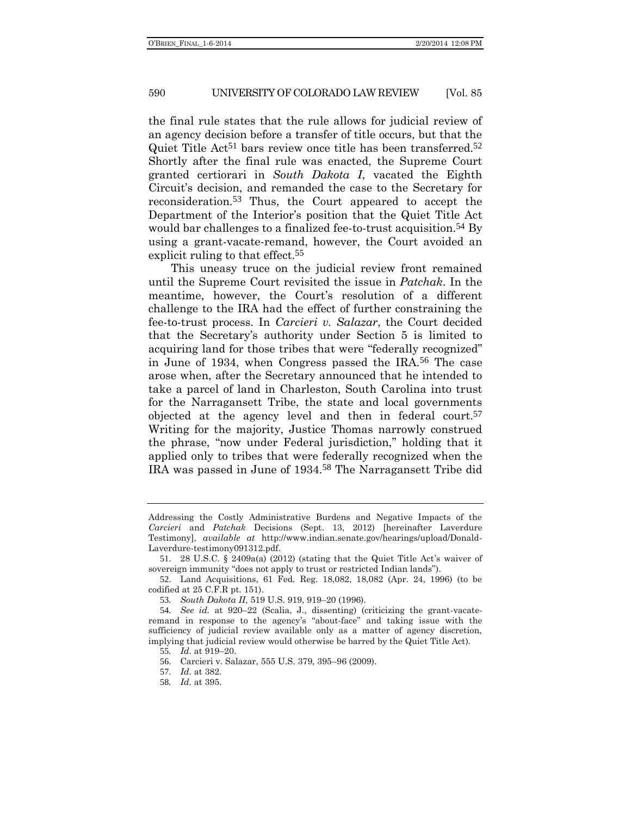the final rule states that the rule allows for judicial review of an agency decision before a transfer of title occurs, but that the Quiet Title Act<sup>51</sup> bars review once title has been transferred.<sup>52</sup> Shortly after the final rule was enacted, the Supreme Court granted certiorari in *South Dakota I*, vacated the Eighth Circuit's decision, and remanded the case to the Secretary for reconsideration.53 Thus, the Court appeared to accept the Department of the Interior's position that the Quiet Title Act would bar challenges to a finalized fee-to-trust acquisition.<sup>54</sup> By using a grant-vacate-remand, however, the Court avoided an explicit ruling to that effect.<sup>55</sup>

This uneasy truce on the judicial review front remained until the Supreme Court revisited the issue in *Patchak*. In the meantime, however, the Court's resolution of a different challenge to the IRA had the effect of further constraining the fee-to-trust process. In *Carcieri v. Salazar*, the Court decided that the Secretary's authority under Section 5 is limited to acquiring land for those tribes that were "federally recognized" in June of 1934, when Congress passed the IRA.56 The case arose when, after the Secretary announced that he intended to take a parcel of land in Charleston, South Carolina into trust for the Narragansett Tribe, the state and local governments objected at the agency level and then in federal court.57 Writing for the majority, Justice Thomas narrowly construed the phrase, "now under Federal jurisdiction," holding that it applied only to tribes that were federally recognized when the IRA was passed in June of 1934.58 The Narragansett Tribe did

55*. Id.* at 919–20.

Addressing the Costly Administrative Burdens and Negative Impacts of the *Carcieri* and *Patchak* Decisions (Sept. 13, 2012) [hereinafter Laverdure Testimony], *available at* http://www.indian.senate.gov/hearings/upload/Donald-Laverdure-testimony091312.pdf.

<sup>51</sup>. 28 U.S.C. § 2409a(a) (2012) (stating that the Quiet Title Act's waiver of sovereign immunity "does not apply to trust or restricted Indian lands").

<sup>52</sup>. Land Acquisitions, 61 Fed. Reg. 18,082, 18,082 (Apr. 24, 1996) (to be codified at 25 C.F.R pt. 151).

<sup>53</sup>*. South Dakota II*, 519 U.S. 919, 919–20 (1996).

<sup>54</sup>*. See id.* at 920–22 (Scalia, J., dissenting) (criticizing the grant-vacateremand in response to the agency's "about-face" and taking issue with the sufficiency of judicial review available only as a matter of agency discretion, implying that judicial review would otherwise be barred by the Quiet Title Act).

<sup>56</sup>. Carcieri v. Salazar, 555 U.S. 379, 395–96 (2009).

<sup>57</sup>*. Id.* at 382.

<sup>58</sup>*. Id.* at 395.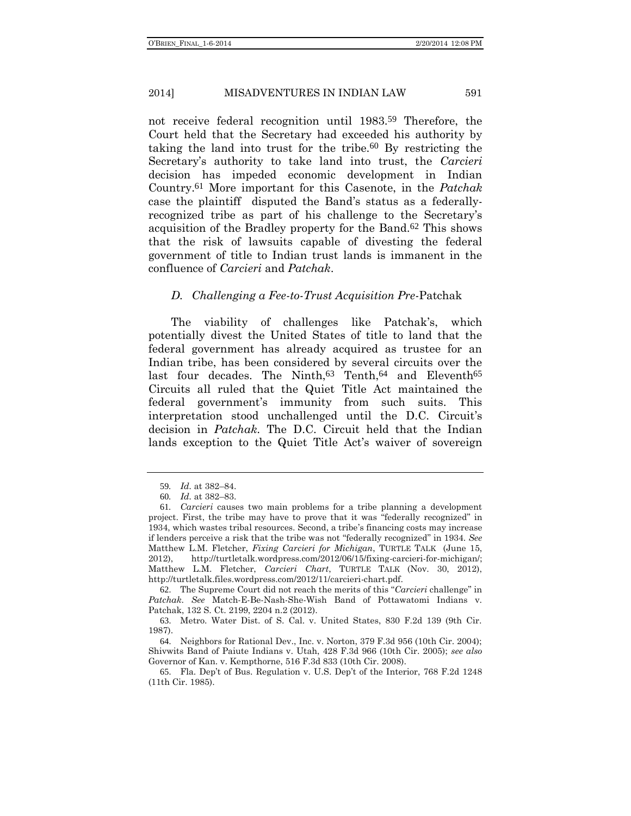not receive federal recognition until 1983.59 Therefore, the Court held that the Secretary had exceeded his authority by taking the land into trust for the tribe.60 By restricting the Secretary's authority to take land into trust, the *Carcieri* decision has impeded economic development in Indian Country.61 More important for this Casenote, in the *Patchak* case the plaintiff disputed the Band's status as a federallyrecognized tribe as part of his challenge to the Secretary's acquisition of the Bradley property for the Band.62 This shows that the risk of lawsuits capable of divesting the federal government of title to Indian trust lands is immanent in the confluence of *Carcieri* and *Patchak*.

#### *D. Challenging a Fee-to-Trust Acquisition Pre-*Patchak

The viability of challenges like Patchak's, which potentially divest the United States of title to land that the federal government has already acquired as trustee for an Indian tribe, has been considered by several circuits over the last four decades. The Ninth,<sup>63</sup> Tenth,<sup>64</sup> and Eleventh<sup>65</sup> Circuits all ruled that the Quiet Title Act maintained the federal government's immunity from such suits. This interpretation stood unchallenged until the D.C. Circuit's decision in *Patchak*. The D.C. Circuit held that the Indian lands exception to the Quiet Title Act's waiver of sovereign

62. The Supreme Court did not reach the merits of this "*Carcieri* challenge" in *Patchak*. *See* Match-E-Be-Nash-She-Wish Band of Pottawatomi Indians v. Patchak, 132 S. Ct. 2199, 2204 n.2 (2012).

63. Metro. Water Dist. of S. Cal. v. United States, 830 F.2d 139 (9th Cir. 1987).

64. Neighbors for Rational Dev., Inc. v. Norton, 379 F.3d 956 (10th Cir. 2004); Shivwits Band of Paiute Indians v. Utah, 428 F.3d 966 (10th Cir. 2005); *see also* Governor of Kan. v. Kempthorne, 516 F.3d 833 (10th Cir. 2008).

<sup>59</sup>*. Id.* at 382–84.

<sup>60</sup>*. Id.* at 382–83.

<sup>61</sup>*. Carcieri* causes two main problems for a tribe planning a development project. First, the tribe may have to prove that it was "federally recognized" in 1934, which wastes tribal resources. Second, a tribe's financing costs may increase if lenders perceive a risk that the tribe was not "federally recognized" in 1934. *See* Matthew L.M. Fletcher, *Fixing Carcieri for Michigan*, TURTLE TALK (June 15, 2012), http://turtletalk.wordpress.com/2012/06/15/fixing-carcieri-for-michigan/; Matthew L.M. Fletcher, *Carcieri Chart*, TURTLE TALK (Nov. 30, 2012), http://turtletalk.files.wordpress.com/2012/11/carcieri-chart.pdf.

<sup>65</sup>. Fla. Dep't of Bus. Regulation v. U.S. Dep't of the Interior, 768 F.2d 1248 (11th Cir. 1985).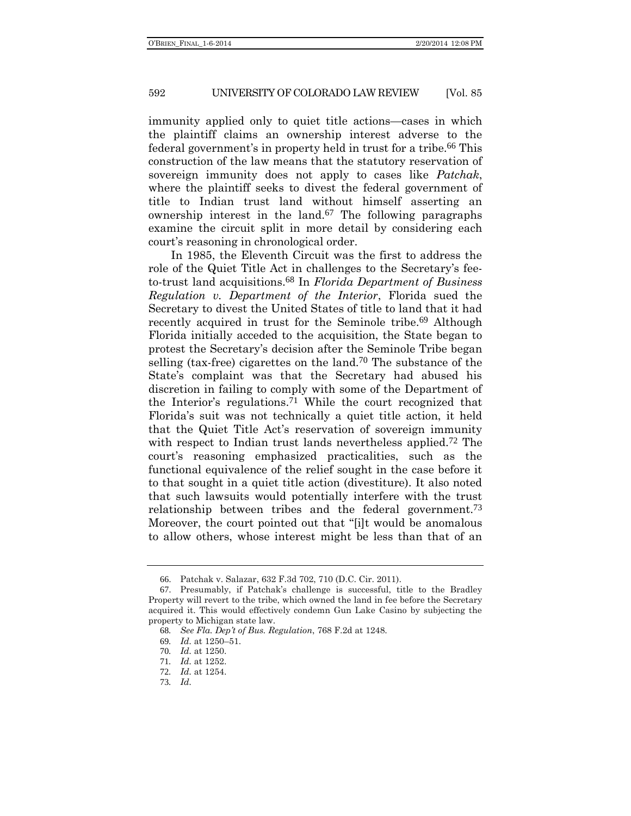immunity applied only to quiet title actions—cases in which the plaintiff claims an ownership interest adverse to the federal government's in property held in trust for a tribe.<sup>66</sup> This construction of the law means that the statutory reservation of sovereign immunity does not apply to cases like *Patchak*, where the plaintiff seeks to divest the federal government of title to Indian trust land without himself asserting an ownership interest in the land.67 The following paragraphs examine the circuit split in more detail by considering each court's reasoning in chronological order.

In 1985, the Eleventh Circuit was the first to address the role of the Quiet Title Act in challenges to the Secretary's feeto-trust land acquisitions.68 In *Florida Department of Business Regulation v. Department of the Interior*, Florida sued the Secretary to divest the United States of title to land that it had recently acquired in trust for the Seminole tribe.<sup>69</sup> Although Florida initially acceded to the acquisition, the State began to protest the Secretary's decision after the Seminole Tribe began selling (tax-free) cigarettes on the land.70 The substance of the State's complaint was that the Secretary had abused his discretion in failing to comply with some of the Department of the Interior's regulations.71 While the court recognized that Florida's suit was not technically a quiet title action, it held that the Quiet Title Act's reservation of sovereign immunity with respect to Indian trust lands nevertheless applied.<sup>72</sup> The court's reasoning emphasized practicalities, such as the functional equivalence of the relief sought in the case before it to that sought in a quiet title action (divestiture). It also noted that such lawsuits would potentially interfere with the trust relationship between tribes and the federal government.73 Moreover, the court pointed out that "[i]t would be anomalous to allow others, whose interest might be less than that of an

<sup>66</sup>. Patchak v. Salazar, 632 F.3d 702, 710 (D.C. Cir. 2011).

<sup>67</sup>. Presumably, if Patchak's challenge is successful, title to the Bradley Property will revert to the tribe, which owned the land in fee before the Secretary acquired it. This would effectively condemn Gun Lake Casino by subjecting the property to Michigan state law.

<sup>68</sup>*. See Fla. Dep't of Bus. Regulation*, 768 F.2d at 1248.

<sup>69</sup>*. Id.* at 1250–51.

<sup>70</sup>*. Id.* at 1250.

<sup>71</sup>*. Id.* at 1252.

<sup>72</sup>*. Id.* at 1254.

<sup>73</sup>*. Id.*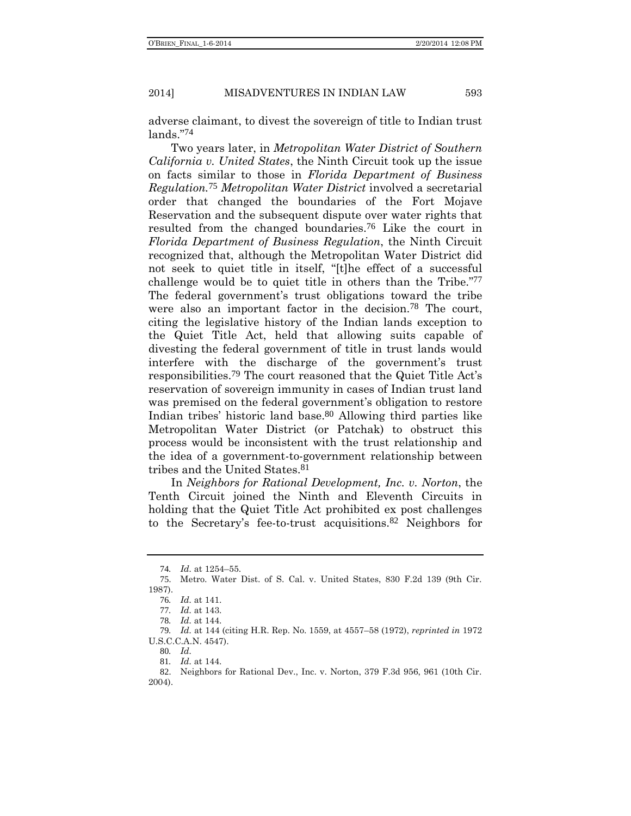adverse claimant, to divest the sovereign of title to Indian trust lands." 74

Two years later, in *Metropolitan Water District of Southern California v. United States*, the Ninth Circuit took up the issue on facts similar to those in *Florida Department of Business Regulation.*75 *Metropolitan Water District* involved a secretarial order that changed the boundaries of the Fort Mojave Reservation and the subsequent dispute over water rights that resulted from the changed boundaries.76 Like the court in *Florida Department of Business Regulation*, the Ninth Circuit recognized that, although the Metropolitan Water District did not seek to quiet title in itself, "[t]he effect of a successful challenge would be to quiet title in others than the Tribe." 77 The federal government's trust obligations toward the tribe were also an important factor in the decision.78 The court, citing the legislative history of the Indian lands exception to the Quiet Title Act, held that allowing suits capable of divesting the federal government of title in trust lands would interfere with the discharge of the government's trust responsibilities.79 The court reasoned that the Quiet Title Act's reservation of sovereign immunity in cases of Indian trust land was premised on the federal government's obligation to restore Indian tribes' historic land base.80 Allowing third parties like Metropolitan Water District (or Patchak) to obstruct this process would be inconsistent with the trust relationship and the idea of a government-to-government relationship between tribes and the United States.81

In *Neighbors for Rational Development, Inc. v. Norton*, the Tenth Circuit joined the Ninth and Eleventh Circuits in holding that the Quiet Title Act prohibited ex post challenges to the Secretary's fee-to-trust acquisitions.82 Neighbors for

<sup>74</sup>*. Id.* at 1254–55.

<sup>75</sup>. Metro. Water Dist. of S. Cal. v. United States, 830 F.2d 139 (9th Cir. 1987).

<sup>76</sup>*. Id.* at 141.

<sup>77</sup>*. Id.* at 143.

<sup>78</sup>*. Id.* at 144.

<sup>79</sup>*. Id.* at 144 (citing H.R. Rep. No. 1559, at 4557–58 (1972), *reprinted in* 1972 U.S.C.C.A.N. 4547).

<sup>80</sup>*. Id.*

<sup>81</sup>*. Id.* at 144.

<sup>82</sup>. Neighbors for Rational Dev., Inc. v. Norton, 379 F.3d 956, 961 (10th Cir. 2004).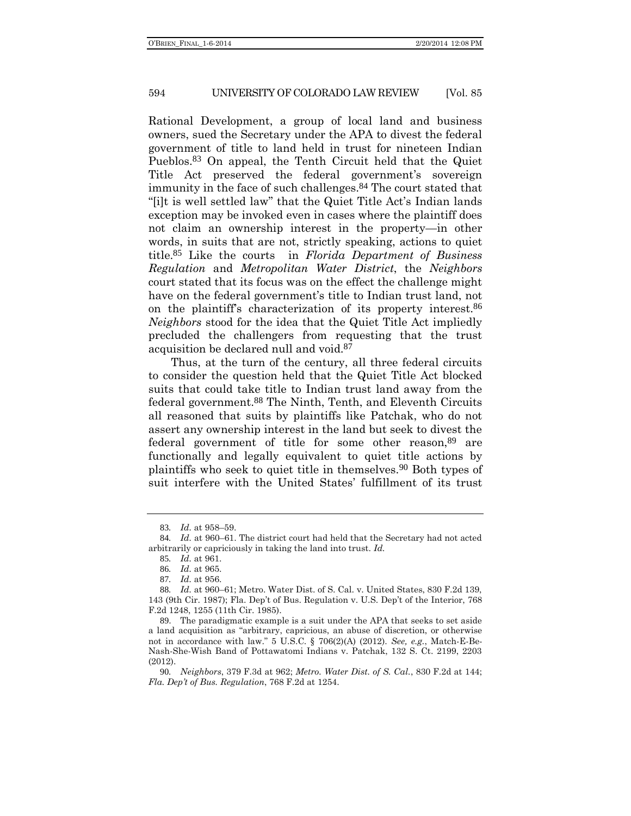Rational Development, a group of local land and business owners, sued the Secretary under the APA to divest the federal government of title to land held in trust for nineteen Indian Pueblos.83 On appeal, the Tenth Circuit held that the Quiet Title Act preserved the federal government's sovereign immunity in the face of such challenges.<sup>84</sup> The court stated that "[i]t is well settled law" that the Quiet Title Act's Indian lands exception may be invoked even in cases where the plaintiff does not claim an ownership interest in the property—in other words, in suits that are not, strictly speaking, actions to quiet title.85 Like the courts in *Florida Department of Business Regulation* and *Metropolitan Water District*, the *Neighbors* court stated that its focus was on the effect the challenge might have on the federal government's title to Indian trust land, not on the plaintiff's characterization of its property interest.<sup>86</sup> *Neighbors* stood for the idea that the Quiet Title Act impliedly precluded the challengers from requesting that the trust acquisition be declared null and void.87

Thus, at the turn of the century, all three federal circuits to consider the question held that the Quiet Title Act blocked suits that could take title to Indian trust land away from the federal government.88 The Ninth, Tenth, and Eleventh Circuits all reasoned that suits by plaintiffs like Patchak, who do not assert any ownership interest in the land but seek to divest the federal government of title for some other reason,89 are functionally and legally equivalent to quiet title actions by plaintiffs who seek to quiet title in themselves.90 Both types of suit interfere with the United States' fulfillment of its trust

<sup>83</sup>*. Id.* at 958–59.

<sup>84</sup>*. Id.* at 960–61. The district court had held that the Secretary had not acted arbitrarily or capriciously in taking the land into trust. *Id.*

<sup>85</sup>*. Id.* at 961.

<sup>86</sup>*. Id.* at 965.

<sup>87</sup>*. Id.* at 956.

<sup>88</sup>*. Id.* at 960–61; Metro. Water Dist. of S. Cal. v. United States, 830 F.2d 139, 143 (9th Cir. 1987); Fla. Dep't of Bus. Regulation v. U.S. Dep't of the Interior, 768 F.2d 1248, 1255 (11th Cir. 1985).

<sup>89</sup>. The paradigmatic example is a suit under the APA that seeks to set aside a land acquisition as "arbitrary, capricious, an abuse of discretion, or otherwise not in accordance with law." 5 U.S.C. § 706(2)(A) (2012). *See, e.g.*, Match-E-Be-Nash-She-Wish Band of Pottawatomi Indians v. Patchak, 132 S. Ct. 2199, 2203 (2012).

<sup>90</sup>*. Neighbors*, 379 F.3d at 962; *Metro. Water Dist. of S. Cal.*, 830 F.2d at 144; *Fla. Dep't of Bus. Regulation*, 768 F.2d at 1254.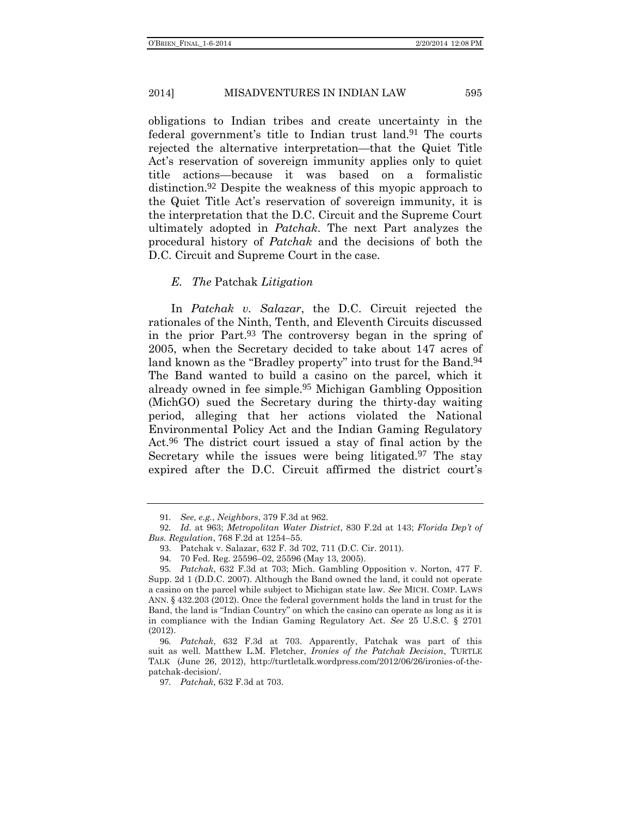obligations to Indian tribes and create uncertainty in the federal government's title to Indian trust land.<sup>91</sup> The courts rejected the alternative interpretation—that the Quiet Title Act's reservation of sovereign immunity applies only to quiet title actions—because it was based on a formalistic distinction.92 Despite the weakness of this myopic approach to the Quiet Title Act's reservation of sovereign immunity, it is the interpretation that the D.C. Circuit and the Supreme Court ultimately adopted in *Patchak*. The next Part analyzes the procedural history of *Patchak* and the decisions of both the D.C. Circuit and Supreme Court in the case.

### *E. The* Patchak *Litigation*

In *Patchak v. Salazar*, the D.C. Circuit rejected the rationales of the Ninth, Tenth, and Eleventh Circuits discussed in the prior Part. 93 The controversy began in the spring of 2005, when the Secretary decided to take about 147 acres of land known as the "Bradley property" into trust for the Band.<sup>94</sup> The Band wanted to build a casino on the parcel, which it already owned in fee simple.<sup>95</sup> Michigan Gambling Opposition (MichGO) sued the Secretary during the thirty-day waiting period, alleging that her actions violated the National Environmental Policy Act and the Indian Gaming Regulatory Act.96 The district court issued a stay of final action by the Secretary while the issues were being litigated. $97$  The stay expired after the D.C. Circuit affirmed the district court's

<sup>91</sup>*. See, e.g.*, *Neighbors*, 379 F.3d at 962.

<sup>92</sup>*. Id.* at 963; *Metropolitan Water District*, 830 F.2d at 143; *Florida Dep't of Bus. Regulation*, 768 F.2d at 1254–55.

<sup>93</sup>. Patchak v. Salazar, 632 F. 3d 702, 711 (D.C. Cir. 2011).

<sup>94</sup>. 70 Fed. Reg. 25596–02, 25596 (May 13, 2005).

<sup>95</sup>*. Patchak*, 632 F.3d at 703; Mich. Gambling Opposition v. Norton, 477 F. Supp. 2d 1 (D.D.C. 2007). Although the Band owned the land, it could not operate a casino on the parcel while subject to Michigan state law. *See* MICH. COMP. LAWS ANN. § 432.203 (2012). Once the federal government holds the land in trust for the Band, the land is "Indian Country" on which the casino can operate as long as it is in compliance with the Indian Gaming Regulatory Act. *See* 25 U.S.C. § 2701 (2012).

<sup>96</sup>*. Patchak*, 632 F.3d at 703. Apparently, Patchak was part of this suit as well. Matthew L.M. Fletcher, *Ironies of the Patchak Decision*, TURTLE TALK (June 26, 2012), http://turtletalk.wordpress.com/2012/06/26/ironies-of-thepatchak-decision/.

<sup>97</sup>*. Patchak*, 632 F.3d at 703.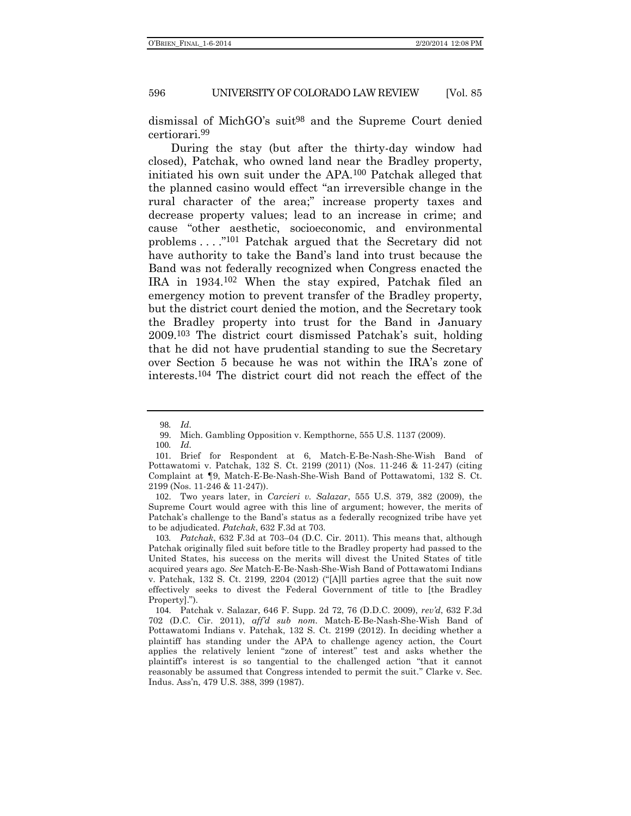dismissal of MichGO's suit<sup>98</sup> and the Supreme Court denied certiorari.99

During the stay (but after the thirty-day window had closed), Patchak, who owned land near the Bradley property, initiated his own suit under the APA.100 Patchak alleged that the planned casino would effect "an irreversible change in the rural character of the area;" increase property taxes and decrease property values; lead to an increase in crime; and cause "other aesthetic, socioeconomic, and environmental problems . . . ."101 Patchak argued that the Secretary did not have authority to take the Band's land into trust because the Band was not federally recognized when Congress enacted the IRA in 1934.102 When the stay expired, Patchak filed an emergency motion to prevent transfer of the Bradley property, but the district court denied the motion, and the Secretary took the Bradley property into trust for the Band in January 2009.103 The district court dismissed Patchak's suit, holding that he did not have prudential standing to sue the Secretary over Section 5 because he was not within the IRA's zone of interests.104 The district court did not reach the effect of the

<sup>98</sup>*. Id.*

<sup>99</sup>. Mich. Gambling Opposition v. Kempthorne, 555 U.S. 1137 (2009).

<sup>100</sup>*. Id.*

<sup>101</sup>. Brief for Respondent at 6, Match-E-Be-Nash-She-Wish Band of Pottawatomi v. Patchak, 132 S. Ct. 2199 (2011) (Nos. 11-246 & 11-247) (citing Complaint at ¶9, Match-E-Be-Nash-She-Wish Band of Pottawatomi, 132 S. Ct. 2199 (Nos. 11-246 & 11-247)).

<sup>102</sup>. Two years later, in *Carcieri v. Salazar*, 555 U.S. 379, 382 (2009), the Supreme Court would agree with this line of argument; however, the merits of Patchak's challenge to the Band's status as a federally recognized tribe have yet to be adjudicated. *Patchak*, 632 F.3d at 703.

<sup>103</sup>*. Patchak*, 632 F.3d at 703–04 (D.C. Cir. 2011). This means that, although Patchak originally filed suit before title to the Bradley property had passed to the United States, his success on the merits will divest the United States of title acquired years ago. *See* Match-E-Be-Nash-She-Wish Band of Pottawatomi Indians v. Patchak, 132 S. Ct. 2199, 2204 (2012) ("[A]ll parties agree that the suit now effectively seeks to divest the Federal Government of title to [the Bradley Property].").

<sup>104</sup>. Patchak v. Salazar, 646 F. Supp. 2d 72, 76 (D.D.C. 2009), *rev'd*, 632 F.3d 702 (D.C. Cir. 2011), *aff'd sub nom.* Match-E-Be-Nash-She-Wish Band of Pottawatomi Indians v. Patchak, 132 S. Ct. 2199 (2012). In deciding whether a plaintiff has standing under the APA to challenge agency action, the Court applies the relatively lenient "zone of interest" test and asks whether the plaintiff's interest is so tangential to the challenged action "that it cannot reasonably be assumed that Congress intended to permit the suit." Clarke v. Sec. Indus. Ass'n, 479 U.S. 388, 399 (1987).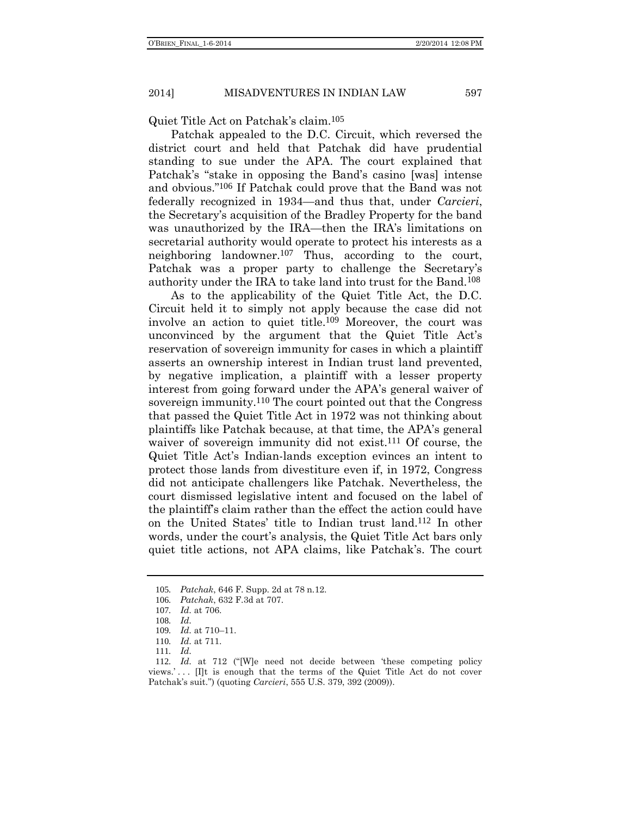Quiet Title Act on Patchak's claim.105

Patchak appealed to the D.C. Circuit, which reversed the district court and held that Patchak did have prudential standing to sue under the APA. The court explained that Patchak's "stake in opposing the Band's casino [was] intense and obvious." 106 If Patchak could prove that the Band was not federally recognized in 1934—and thus that, under *Carcieri*, the Secretary's acquisition of the Bradley Property for the band was unauthorized by the IRA—then the IRA's limitations on secretarial authority would operate to protect his interests as a neighboring landowner.107 Thus, according to the court, Patchak was a proper party to challenge the Secretary's authority under the IRA to take land into trust for the Band.108

As to the applicability of the Quiet Title Act, the D.C. Circuit held it to simply not apply because the case did not involve an action to quiet title.109 Moreover, the court was unconvinced by the argument that the Quiet Title Act's reservation of sovereign immunity for cases in which a plaintiff asserts an ownership interest in Indian trust land prevented, by negative implication, a plaintiff with a lesser property interest from going forward under the APA's general waiver of sovereign immunity.<sup>110</sup> The court pointed out that the Congress that passed the Quiet Title Act in 1972 was not thinking about plaintiffs like Patchak because, at that time, the APA's general waiver of sovereign immunity did not exist.111 Of course, the Quiet Title Act's Indian-lands exception evinces an intent to protect those lands from divestiture even if, in 1972, Congress did not anticipate challengers like Patchak. Nevertheless, the court dismissed legislative intent and focused on the label of the plaintiff's claim rather than the effect the action could have on the United States' title to Indian trust land.112 In other words, under the court's analysis, the Quiet Title Act bars only quiet title actions, not APA claims, like Patchak's. The court

<sup>105</sup>*. Patchak*, 646 F. Supp. 2d at 78 n.12.

<sup>106</sup>*. Patchak*, 632 F.3d at 707.

<sup>107</sup>*. Id.* at 706.

<sup>108</sup>*. Id.*

<sup>109</sup>*. Id.* at 710–11.

<sup>110</sup>*. Id.* at 711.

<sup>111</sup>*. Id.*

<sup>112</sup>*. Id.* at 712 ("[W]e need not decide between 'these competing policy views.'... [I]t is enough that the terms of the Quiet Title Act do not cover Patchak's suit.") (quoting *Carcieri*, 555 U.S. 379, 392 (2009)).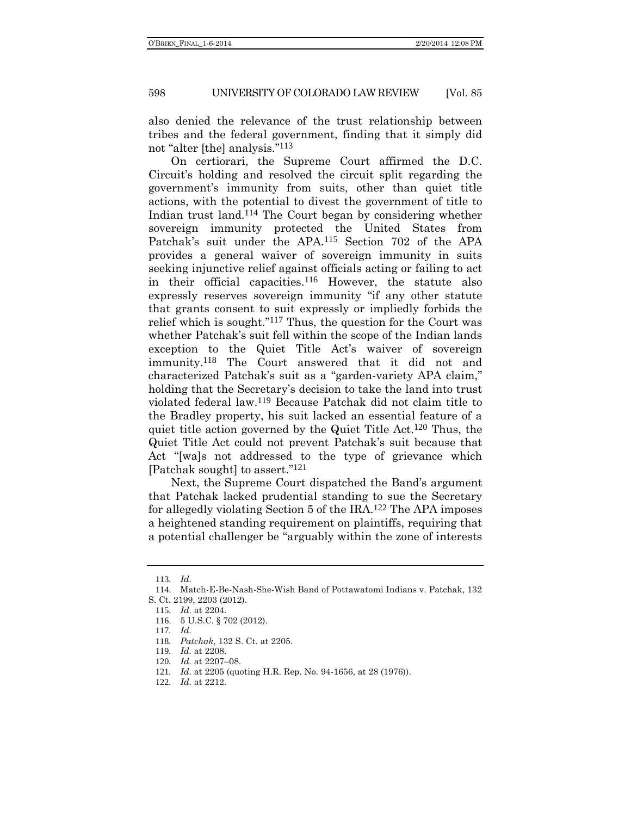also denied the relevance of the trust relationship between tribes and the federal government, finding that it simply did not "alter [the] analysis." 113

On certiorari, the Supreme Court affirmed the D.C. Circuit's holding and resolved the circuit split regarding the government's immunity from suits, other than quiet title actions, with the potential to divest the government of title to Indian trust land.114 The Court began by considering whether sovereign immunity protected the United States from Patchak's suit under the APA.115 Section 702 of the APA provides a general waiver of sovereign immunity in suits seeking injunctive relief against officials acting or failing to act in their official capacities.116 However, the statute also expressly reserves sovereign immunity "if any other statute that grants consent to suit expressly or impliedly forbids the relief which is sought." 117 Thus, the question for the Court was whether Patchak's suit fell within the scope of the Indian lands exception to the Quiet Title Act's waiver of sovereign immunity.118 The Court answered that it did not and characterized Patchak's suit as a "garden-variety APA claim," holding that the Secretary's decision to take the land into trust violated federal law.119 Because Patchak did not claim title to the Bradley property, his suit lacked an essential feature of a quiet title action governed by the Quiet Title Act.120 Thus, the Quiet Title Act could not prevent Patchak's suit because that Act "[wa]s not addressed to the type of grievance which [Patchak sought] to assert." 121

Next, the Supreme Court dispatched the Band's argument that Patchak lacked prudential standing to sue the Secretary for allegedly violating Section 5 of the IRA.122 The APA imposes a heightened standing requirement on plaintiffs, requiring that a potential challenger be "arguably within the zone of interests

<sup>113</sup>*. Id.*

<sup>114</sup>. Match-E-Be-Nash-She-Wish Band of Pottawatomi Indians v. Patchak, 132 S. Ct. 2199, 2203 (2012).

<sup>115</sup>*. Id.* at 2204.

<sup>116</sup>. 5 U.S.C. § 702 (2012).

<sup>117</sup>*. Id.*

<sup>118</sup>*. Patchak*, 132 S. Ct. at 2205.

<sup>119</sup>*. Id.* at 2208.

<sup>120</sup>*. Id.* at 2207–08.

<sup>121</sup>*. Id.* at 2205 (quoting H.R. Rep. No. 94-1656, at 28 (1976)).

<sup>122</sup>*. Id.* at 2212.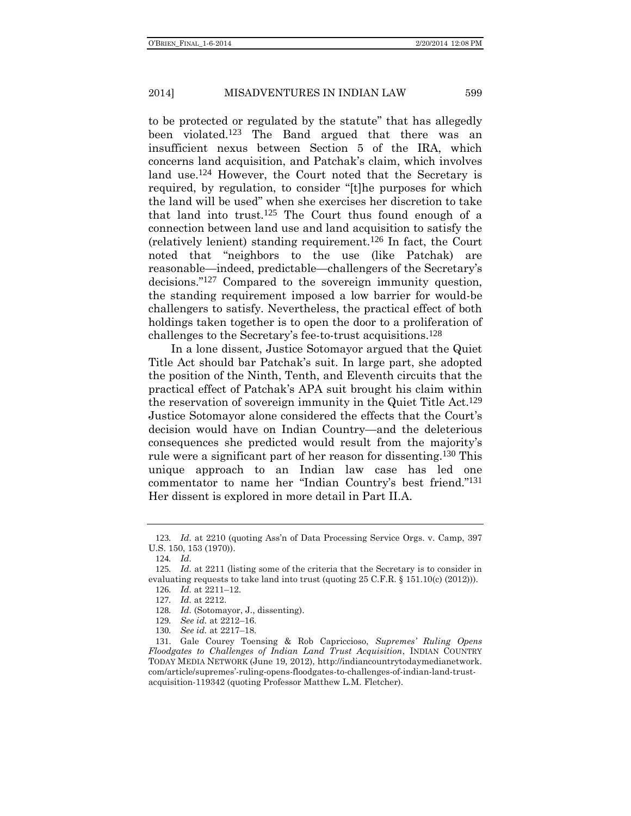to be protected or regulated by the statute" that has allegedly been violated.123 The Band argued that there was an insufficient nexus between Section 5 of the IRA, which concerns land acquisition, and Patchak's claim, which involves land use.<sup>124</sup> However, the Court noted that the Secretary is required, by regulation, to consider "[t]he purposes for which the land will be used" when she exercises her discretion to take that land into trust.125 The Court thus found enough of a connection between land use and land acquisition to satisfy the (relatively lenient) standing requirement.126 In fact, the Court noted that "neighbors to the use (like Patchak) are reasonable—indeed, predictable—challengers of the Secretary's decisions." 127 Compared to the sovereign immunity question, the standing requirement imposed a low barrier for would-be challengers to satisfy. Nevertheless, the practical effect of both holdings taken together is to open the door to a proliferation of challenges to the Secretary's fee-to-trust acquisitions.128

In a lone dissent, Justice Sotomayor argued that the Quiet Title Act should bar Patchak's suit. In large part, she adopted the position of the Ninth, Tenth, and Eleventh circuits that the practical effect of Patchak's APA suit brought his claim within the reservation of sovereign immunity in the Quiet Title Act.129 Justice Sotomayor alone considered the effects that the Court's decision would have on Indian Country—and the deleterious consequences she predicted would result from the majority's rule were a significant part of her reason for dissenting.130 This unique approach to an Indian law case has led one commentator to name her "Indian Country's best friend." 131 Her dissent is explored in more detail in Part II.A.

<sup>123</sup>*. Id.* at 2210 (quoting Ass'n of Data Processing Service Orgs. v. Camp, 397 U.S. 150, 153 (1970)).

<span id="page-18-0"></span><sup>124</sup>*. Id.*

<sup>125</sup>*. Id.* at 2211 (listing some of the criteria that the Secretary is to consider in evaluating requests to take land into trust (quoting 25 C.F.R. § 151.10(c) (2012))). 126*. Id.* at 2211–12.

<sup>127</sup>*. Id.* at 2212.

<sup>128</sup>*. Id.* (Sotomayor, J., dissenting).

<sup>129</sup>*. See id.* at 2212–16.

<sup>130</sup>*. See id.* at 2217–18.

<sup>131</sup>. Gale Courey Toensing & Rob Capriccioso, *Supremes' Ruling Opens Floodgates to Challenges of Indian Land Trust Acquisition*, INDIAN COUNTRY TODAY MEDIA NETWORK (June 19, 2012), http://indiancountrytodaymedianetwork. com/article/supremes'-ruling-opens-floodgates-to-challenges-of-indian-land-trustacquisition-119342 (quoting Professor Matthew L.M. Fletcher).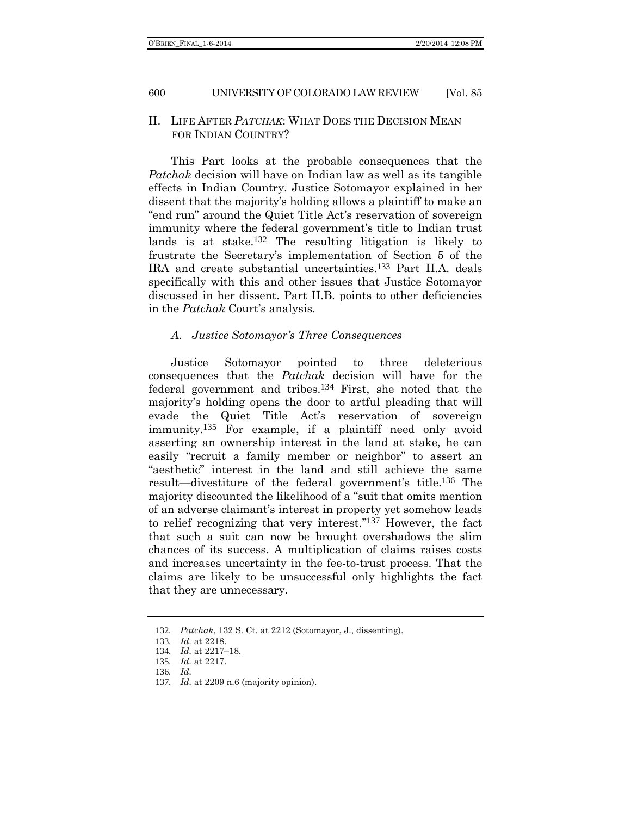## II. LIFE AFTER *PATCHAK*: WHAT DOES THE DECISION MEAN FOR INDIAN COUNTRY?

This Part looks at the probable consequences that the *Patchak* decision will have on Indian law as well as its tangible effects in Indian Country. Justice Sotomayor explained in her dissent that the majority's holding allows a plaintiff to make an "end run" around the Quiet Title Act's reservation of sovereign immunity where the federal government's title to Indian trust lands is at stake.132 The resulting litigation is likely to frustrate the Secretary's implementation of Section 5 of the IRA and create substantial uncertainties.133 Part II.A. deals specifically with this and other issues that Justice Sotomayor discussed in her dissent. Part II.B. points to other deficiencies in the *Patchak* Court's analysis.

#### *A. Justice Sotomayor's Three Consequences*

Justice Sotomayor pointed to three deleterious consequences that the *Patchak* decision will have for the federal government and tribes.134 First, she noted that the majority's holding opens the door to artful pleading that will evade the Quiet Title Act's reservation of sovereign immunity.135 For example, if a plaintiff need only avoid asserting an ownership interest in the land at stake, he can easily "recruit a family member or neighbor" to assert an "aesthetic" interest in the land and still achieve the same result—divestiture of the federal government's title.136 The majority discounted the likelihood of a "suit that omits mention of an adverse claimant's interest in property yet somehow leads to relief recognizing that very interest." 137 However, the fact that such a suit can now be brought overshadows the slim chances of its success. A multiplication of claims raises costs and increases uncertainty in the fee-to-trust process. That the claims are likely to be unsuccessful only highlights the fact that they are unnecessary.

<sup>132</sup>*. Patchak*, 132 S. Ct. at 2212 (Sotomayor, J., dissenting).

<sup>133</sup>*. Id.* at 2218.

<sup>134</sup>*. Id.* at 2217–18.

<sup>135</sup>*. Id.* at 2217.

<sup>136</sup>*. Id.*

<sup>137</sup>*. Id.* at 2209 n.6 (majority opinion).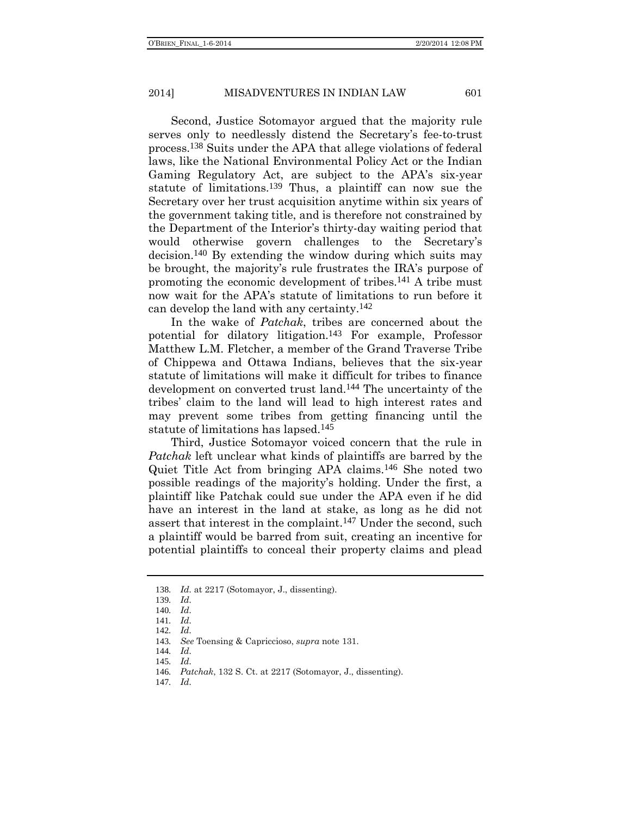Second, Justice Sotomayor argued that the majority rule serves only to needlessly distend the Secretary's fee-to-trust process.138 Suits under the APA that allege violations of federal laws, like the National Environmental Policy Act or the Indian Gaming Regulatory Act, are subject to the APA's six-year statute of limitations.139 Thus, a plaintiff can now sue the Secretary over her trust acquisition anytime within six years of the government taking title, and is therefore not constrained by the Department of the Interior's thirty-day waiting period that would otherwise govern challenges to the Secretary's decision.140 By extending the window during which suits may be brought, the majority's rule frustrates the IRA's purpose of promoting the economic development of tribes.141 A tribe must now wait for the APA's statute of limitations to run before it can develop the land with any certainty.142

In the wake of *Patchak*, tribes are concerned about the potential for dilatory litigation.143 For example, Professor Matthew L.M. Fletcher, a member of the Grand Traverse Tribe of Chippewa and Ottawa Indians, believes that the six-year statute of limitations will make it difficult for tribes to finance development on converted trust land.144 The uncertainty of the tribes' claim to the land will lead to high interest rates and may prevent some tribes from getting financing until the statute of limitations has lapsed.145

Third, Justice Sotomayor voiced concern that the rule in *Patchak* left unclear what kinds of plaintiffs are barred by the Quiet Title Act from bringing APA claims.146 She noted two possible readings of the majority's holding. Under the first, a plaintiff like Patchak could sue under the APA even if he did have an interest in the land at stake, as long as he did not assert that interest in the complaint.147 Under the second, such a plaintiff would be barred from suit, creating an incentive for potential plaintiffs to conceal their property claims and plead

147*. Id.*

<sup>138</sup>*. Id.* at 2217 (Sotomayor, J., dissenting).

<sup>139</sup>*. Id.*

<sup>140</sup>*. Id.*

<sup>141</sup>*. Id.*

<sup>142</sup>*. Id.*

<sup>143</sup>*. See* Toensing & Capriccioso, *supra* note [131.](#page-18-0)

<sup>144</sup>*. Id.* 145*. Id.*

<sup>146</sup>*. Patchak*, 132 S. Ct. at 2217 (Sotomayor, J., dissenting).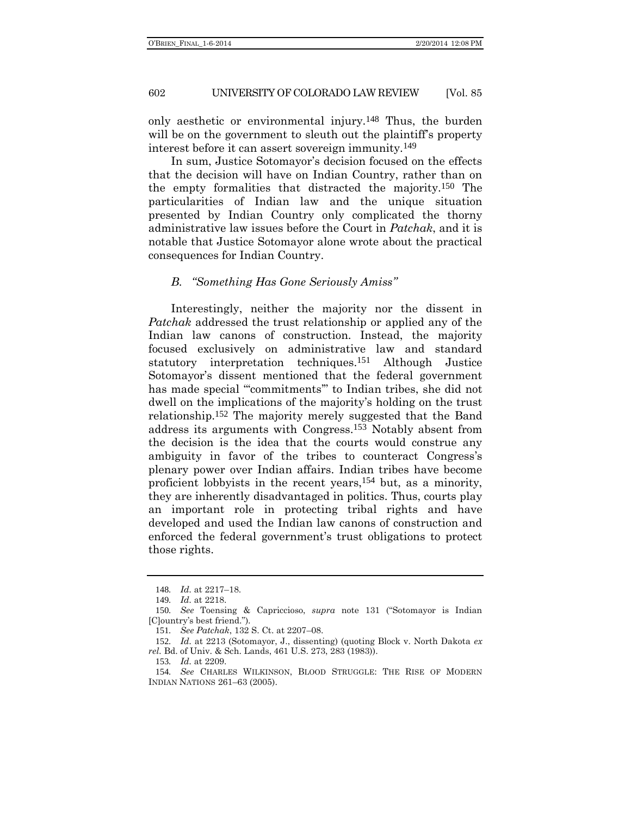only aesthetic or environmental injury.148 Thus, the burden will be on the government to sleuth out the plaintiff's property interest before it can assert sovereign immunity.149

In sum, Justice Sotomayor's decision focused on the effects that the decision will have on Indian Country, rather than on the empty formalities that distracted the majority.150 The particularities of Indian law and the unique situation presented by Indian Country only complicated the thorny administrative law issues before the Court in *Patchak*, and it is notable that Justice Sotomayor alone wrote about the practical consequences for Indian Country.

### *B. "Something Has Gone Seriously Amiss"*

Interestingly, neither the majority nor the dissent in *Patchak* addressed the trust relationship or applied any of the Indian law canons of construction. Instead, the majority focused exclusively on administrative law and standard statutory interpretation techniques.151 Although Justice Sotomayor's dissent mentioned that the federal government has made special ""commitments" to Indian tribes, she did not dwell on the implications of the majority's holding on the trust relationship.152 The majority merely suggested that the Band address its arguments with Congress.153 Notably absent from the decision is the idea that the courts would construe any ambiguity in favor of the tribes to counteract Congress's plenary power over Indian affairs. Indian tribes have become proficient lobbyists in the recent years, 154 but, as a minority, they are inherently disadvantaged in politics. Thus, courts play an important role in protecting tribal rights and have developed and used the Indian law canons of construction and enforced the federal government's trust obligations to protect those rights.

<span id="page-21-0"></span><sup>148</sup>*. Id.* at 2217–18.

<sup>149</sup>*. Id.* at 2218.

<sup>150</sup>*. See* Toensing & Capriccioso, *supra* note [131](#page-18-0) ("Sotomayor is Indian [C]ountry's best friend.").

<sup>151</sup>*. See Patchak*, 132 S. Ct. at 2207–08.

<sup>152</sup>*. Id.* at 2213 (Sotomayor, J., dissenting) (quoting Block v. North Dakota *ex rel.* Bd. of Univ. & Sch. Lands, 461 U.S. 273, 283 (1983)).

<sup>153</sup>*. Id.* at 2209.

<sup>154</sup>*. See* CHARLES WILKINSON, BLOOD STRUGGLE: THE RISE OF MODERN INDIAN NATIONS 261–63 (2005).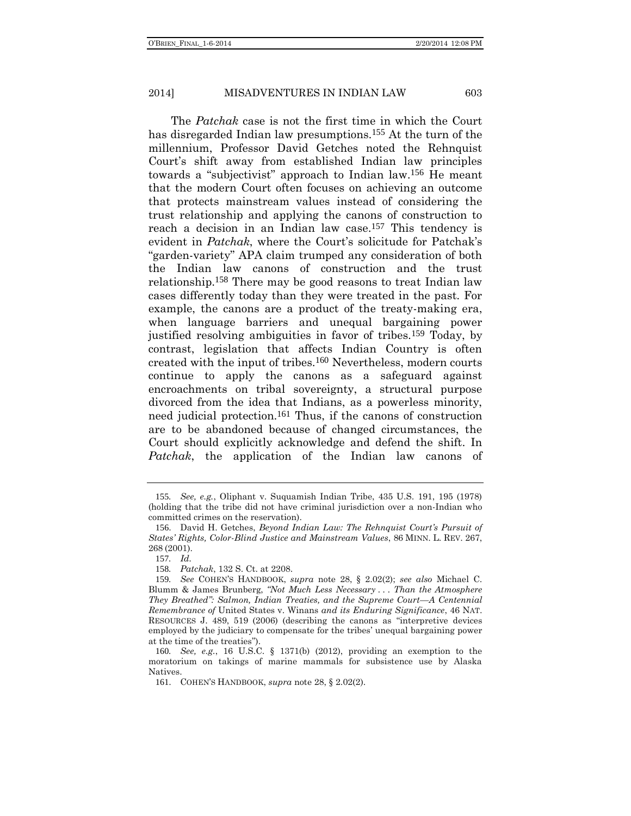The *Patchak* case is not the first time in which the Court has disregarded Indian law presumptions.<sup>155</sup> At the turn of the millennium, Professor David Getches noted the Rehnquist Court's shift away from established Indian law principles towards a "subjectivist" approach to Indian law.156 He meant that the modern Court often focuses on achieving an outcome that protects mainstream values instead of considering the trust relationship and applying the canons of construction to reach a decision in an Indian law case. 157 This tendency is evident in *Patchak*, where the Court's solicitude for Patchak's "garden-variety" APA claim trumped any consideration of both the Indian law canons of construction and the trust relationship.158 There may be good reasons to treat Indian law cases differently today than they were treated in the past. For example, the canons are a product of the treaty-making era, when language barriers and unequal bargaining power justified resolving ambiguities in favor of tribes.159 Today, by contrast, legislation that affects Indian Country is often created with the input of tribes.160 Nevertheless, modern courts continue to apply the canons as a safeguard against encroachments on tribal sovereignty, a structural purpose divorced from the idea that Indians, as a powerless minority, need judicial protection.161 Thus, if the canons of construction are to be abandoned because of changed circumstances, the Court should explicitly acknowledge and defend the shift. In *Patchak*, the application of the Indian law canons of

158*. Patchak*, 132 S. Ct. at 2208.

<sup>155</sup>*. See, e.g.*, Oliphant v. Suquamish Indian Tribe, 435 U.S. 191, 195 (1978) (holding that the tribe did not have criminal jurisdiction over a non-Indian who committed crimes on the reservation).

<sup>156</sup>. David H. Getches, *Beyond Indian Law: The Rehnquist Court's Pursuit of States' Rights, Color-Blind Justice and Mainstream Values*, 86 MINN. L. REV. 267, 268 (2001).

<sup>157</sup>*. Id.*

<sup>159</sup>*. See* COHEN'S HANDBOOK, *supra* note [28,](#page-6-0) § 2.02(2); *see also* Michael C. Blumm & James Brunberg, *"Not Much Less Necessary . . . Than the Atmosphere They Breathed": Salmon, Indian Treaties, and the Supreme Court—A Centennial Remembrance of* United States v. Winans *and its Enduring Significance*, 46 NAT. RESOURCES J. 489, 519 (2006) (describing the canons as "interpretive devices employed by the judiciary to compensate for the tribes' unequal bargaining power at the time of the treaties").

<sup>160</sup>*. See, e.g.*, 16 U.S.C. § 1371(b) (2012), providing an exemption to the moratorium on takings of marine mammals for subsistence use by Alaska Natives.

<sup>161</sup>. COHEN'S HANDBOOK, *supra* note [28,](#page-6-0) § 2.02(2).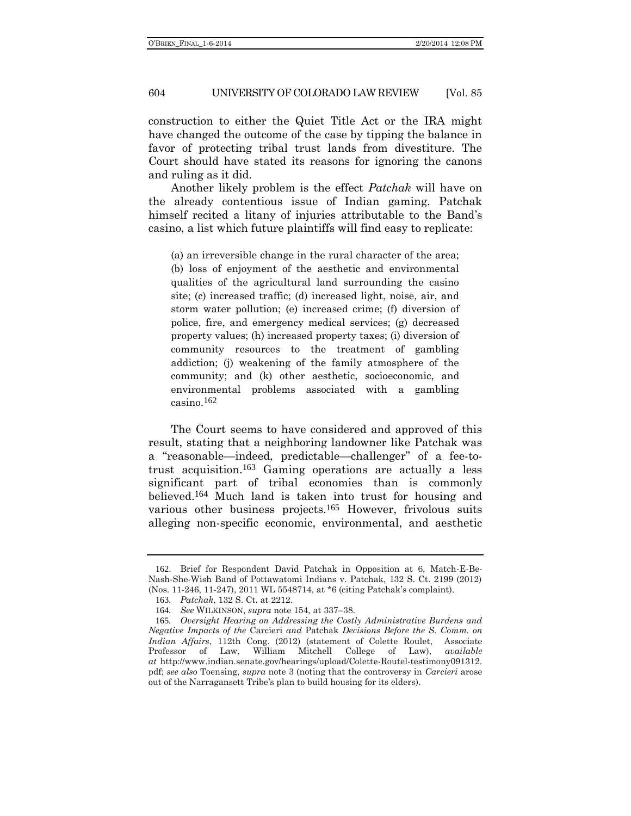construction to either the Quiet Title Act or the IRA might have changed the outcome of the case by tipping the balance in favor of protecting tribal trust lands from divestiture. The Court should have stated its reasons for ignoring the canons and ruling as it did.

Another likely problem is the effect *Patchak* will have on the already contentious issue of Indian gaming. Patchak himself recited a litany of injuries attributable to the Band's casino, a list which future plaintiffs will find easy to replicate:

(a) an irreversible change in the rural character of the area; (b) loss of enjoyment of the aesthetic and environmental qualities of the agricultural land surrounding the casino site; (c) increased traffic; (d) increased light, noise, air, and storm water pollution; (e) increased crime; (f) diversion of police, fire, and emergency medical services; (g) decreased property values; (h) increased property taxes; (i) diversion of community resources to the treatment of gambling addiction; (j) weakening of the family atmosphere of the community; and (k) other aesthetic, socioeconomic, and environmental problems associated with a gambling casino.162

The Court seems to have considered and approved of this result, stating that a neighboring landowner like Patchak was a "reasonable—indeed, predictable—challenger" of a fee-totrust acquisition. 163 Gaming operations are actually a less significant part of tribal economies than is commonly believed.164 Much land is taken into trust for housing and various other business projects.165 However, frivolous suits alleging non-specific economic, environmental, and aesthetic

<sup>162</sup>. Brief for Respondent David Patchak in Opposition at 6, Match-E-Be-Nash-She-Wish Band of Pottawatomi Indians v. Patchak, 132 S. Ct. 2199 (2012) (Nos. 11-246, 11-247), 2011 WL 5548714, at \*6 (citing Patchak's complaint).

<sup>163</sup>*. Patchak*, 132 S. Ct. at 2212.

<sup>164</sup>*. See* WILKINSON, *supra* note [154,](#page-21-0) at 337–38.

<sup>165</sup>*. Oversight Hearing on Addressing the Costly Administrative Burdens and Negative Impacts of the* Carcieri *and* Patchak *Decisions Before the S. Comm. on Indian Affairs*, 112th Cong. (2012) (statement of Colette Roulet, Associate Professor of Law, William Mitchell College of Law), *available at* http://www.indian.senate.gov/hearings/upload/Colette-Routel-testimony091312. pdf; *see also* Toensing, *supra* note [3](#page-1-0) (noting that the controversy in *Carcieri* arose out of the Narragansett Tribe's plan to build housing for its elders).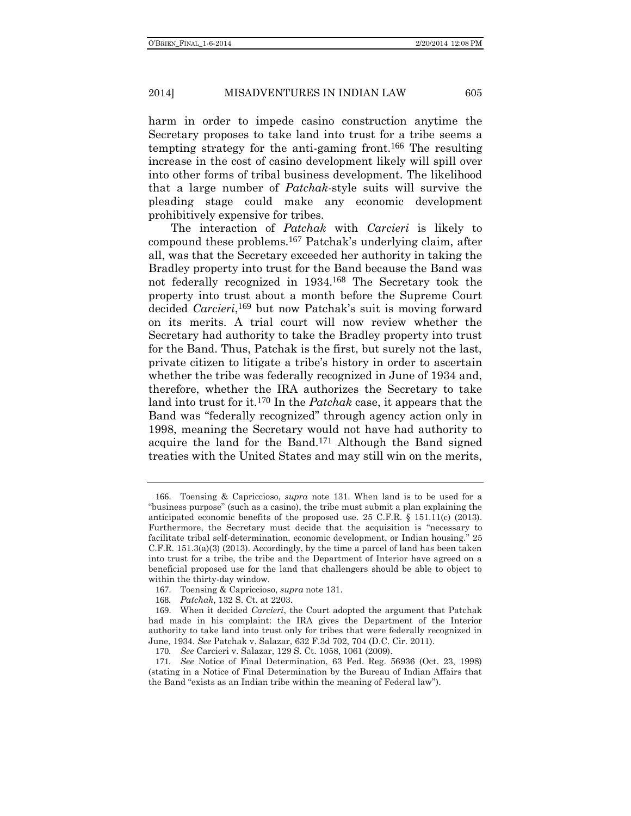harm in order to impede casino construction anytime the Secretary proposes to take land into trust for a tribe seems a tempting strategy for the anti-gaming front.166 The resulting increase in the cost of casino development likely will spill over into other forms of tribal business development. The likelihood that a large number of *Patchak*-style suits will survive the pleading stage could make any economic development prohibitively expensive for tribes.

The interaction of *Patchak* with *Carcieri* is likely to compound these problems.167 Patchak's underlying claim, after all, was that the Secretary exceeded her authority in taking the Bradley property into trust for the Band because the Band was not federally recognized in 1934.168 The Secretary took the property into trust about a month before the Supreme Court decided *Carcieri*, 169 but now Patchak's suit is moving forward on its merits. A trial court will now review whether the Secretary had authority to take the Bradley property into trust for the Band. Thus, Patchak is the first, but surely not the last, private citizen to litigate a tribe's history in order to ascertain whether the tribe was federally recognized in June of 1934 and, therefore, whether the IRA authorizes the Secretary to take land into trust for it.170 In the *Patchak* case, it appears that the Band was "federally recognized" through agency action only in 1998, meaning the Secretary would not have had authority to acquire the land for the Band.171 Although the Band signed treaties with the United States and may still win on the merits,

<sup>166</sup>. Toensing & Capriccioso, *supra* note [131.](#page-18-0) When land is to be used for a "business purpose" (such as a casino), the tribe must submit a plan explaining the anticipated economic benefits of the proposed use. 25 C.F.R.  $\S$  151.11(c) (2013). Furthermore, the Secretary must decide that the acquisition is "necessary to facilitate tribal self-determination, economic development, or Indian housing." 25 C.F.R. 151.3(a)(3) (2013). Accordingly, by the time a parcel of land has been taken into trust for a tribe, the tribe and the Department of Interior have agreed on a beneficial proposed use for the land that challengers should be able to object to within the thirty-day window.

<sup>167</sup>. Toensing & Capriccioso, *supra* note [131.](#page-18-0)

<sup>168</sup>*. Patchak*, 132 S. Ct. at 2203.

<sup>169</sup>. When it decided *Carcieri*, the Court adopted the argument that Patchak had made in his complaint: the IRA gives the Department of the Interior authority to take land into trust only for tribes that were federally recognized in June, 1934. *See* Patchak v. Salazar, 632 F.3d 702, 704 (D.C. Cir. 2011).

<sup>170</sup>*. See* Carcieri v. Salazar, 129 S. Ct. 1058, 1061 (2009).

<sup>171</sup>*. See* Notice of Final Determination, 63 Fed. Reg. 56936 (Oct. 23, 1998) (stating in a Notice of Final Determination by the Bureau of Indian Affairs that the Band "exists as an Indian tribe within the meaning of Federal law").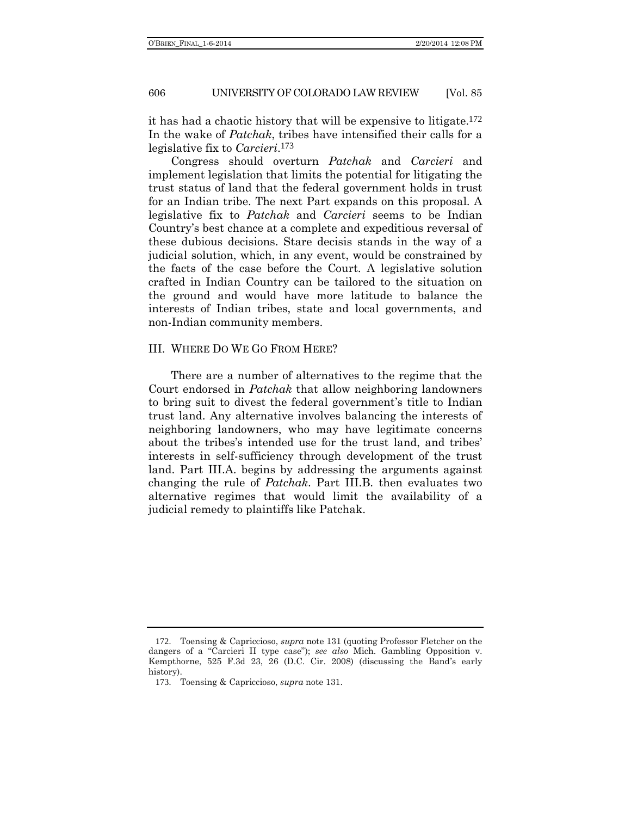it has had a chaotic history that will be expensive to litigate.172 In the wake of *Patchak*, tribes have intensified their calls for a legislative fix to *Carcieri*. 173

Congress should overturn *Patchak* and *Carcieri* and implement legislation that limits the potential for litigating the trust status of land that the federal government holds in trust for an Indian tribe. The next Part expands on this proposal. A legislative fix to *Patchak* and *Carcieri* seems to be Indian Country's best chance at a complete and expeditious reversal of these dubious decisions. Stare decisis stands in the way of a judicial solution, which, in any event, would be constrained by the facts of the case before the Court. A legislative solution crafted in Indian Country can be tailored to the situation on the ground and would have more latitude to balance the interests of Indian tribes, state and local governments, and non-Indian community members.

#### III. WHERE DO WE GO FROM HERE?

There are a number of alternatives to the regime that the Court endorsed in *Patchak* that allow neighboring landowners to bring suit to divest the federal government's title to Indian trust land. Any alternative involves balancing the interests of neighboring landowners, who may have legitimate concerns about the tribes's intended use for the trust land, and tribes' interests in self-sufficiency through development of the trust land. Part III.A. begins by addressing the arguments against changing the rule of *Patchak*. Part III.B. then evaluates two alternative regimes that would limit the availability of a judicial remedy to plaintiffs like Patchak.

<sup>172</sup>. Toensing & Capriccioso, *supra* note [131](#page-18-0) (quoting Professor Fletcher on the dangers of a "Carcieri II type case"); *see also* Mich. Gambling Opposition v. Kempthorne, 525 F.3d 23, 26 (D.C. Cir. 2008) (discussing the Band's early history).

<sup>173</sup>. Toensing & Capriccioso, *supra* note [131.](#page-18-0)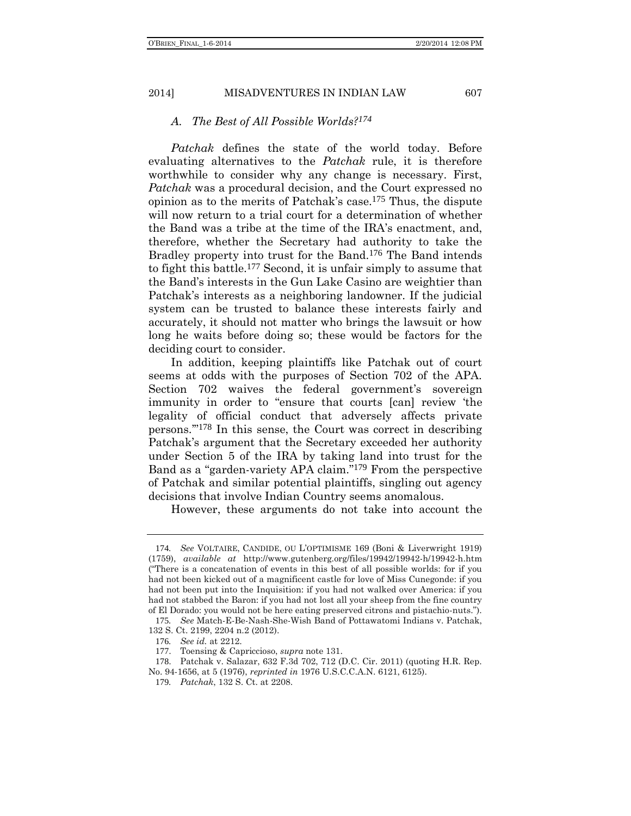*A. The Best of All Possible Worlds?174*

*Patchak* defines the state of the world today. Before evaluating alternatives to the *Patchak* rule, it is therefore worthwhile to consider why any change is necessary. First, *Patchak* was a procedural decision, and the Court expressed no opinion as to the merits of Patchak's case.175 Thus, the dispute will now return to a trial court for a determination of whether the Band was a tribe at the time of the IRA's enactment, and, therefore, whether the Secretary had authority to take the Bradley property into trust for the Band.176 The Band intends to fight this battle.177 Second, it is unfair simply to assume that the Band's interests in the Gun Lake Casino are weightier than Patchak's interests as a neighboring landowner. If the judicial system can be trusted to balance these interests fairly and accurately, it should not matter who brings the lawsuit or how long he waits before doing so; these would be factors for the deciding court to consider.

In addition, keeping plaintiffs like Patchak out of court seems at odds with the purposes of Section 702 of the APA. Section 702 waives the federal government's sovereign immunity in order to "ensure that courts [can] review 'the legality of official conduct that adversely affects private persons.'" 178 In this sense, the Court was correct in describing Patchak's argument that the Secretary exceeded her authority under Section 5 of the IRA by taking land into trust for the Band as a "garden-variety APA claim." 179 From the perspective of Patchak and similar potential plaintiffs, singling out agency decisions that involve Indian Country seems anomalous.

However, these arguments do not take into account the

<sup>174</sup>*. See* VOLTAIRE, CANDIDE, OU L'OPTIMISME 169 (Boni & Liverwright 1919) (1759), *available at* http://www.gutenberg.org/files/19942/19942-h/19942-h.htm ("There is a concatenation of events in this best of all possible worlds: for if you had not been kicked out of a magnificent castle for love of Miss Cunegonde: if you had not been put into the Inquisition: if you had not walked over America: if you had not stabbed the Baron: if you had not lost all your sheep from the fine country of El Dorado: you would not be here eating preserved citrons and pistachio-nuts.").

<sup>175</sup>*. See* Match-E-Be-Nash-She-Wish Band of Pottawatomi Indians v. Patchak, 132 S. Ct. 2199, 2204 n.2 (2012).

<sup>176</sup>*. See id.* at 2212.

<sup>177</sup>. Toensing & Capriccioso, *supra* note [131.](#page-18-0)

<sup>178</sup>. Patchak v. Salazar, 632 F.3d 702, 712 (D.C. Cir. 2011) (quoting H.R. Rep. No. 94-1656, at 5 (1976), *reprinted in* 1976 U.S.C.C.A.N. 6121, 6125).

<sup>179</sup>*. Patchak*, 132 S. Ct. at 2208.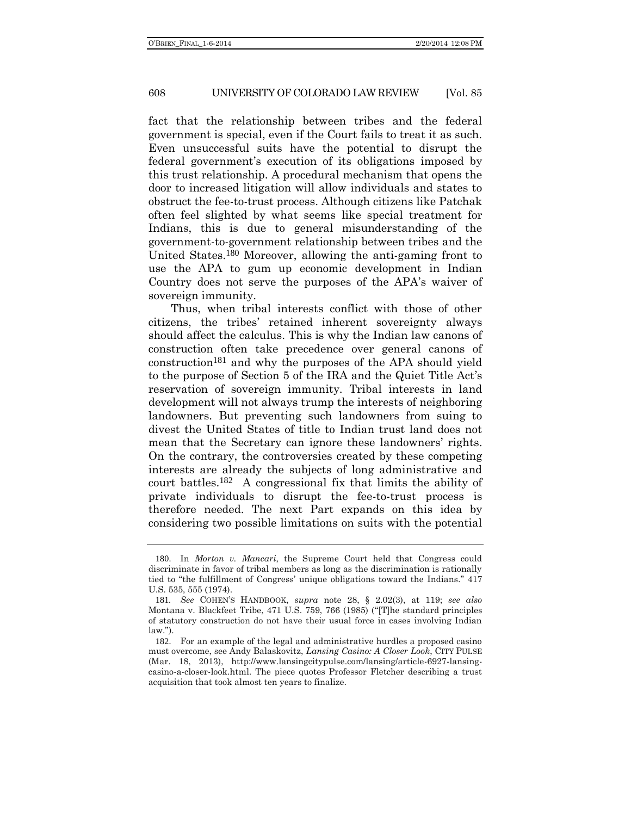fact that the relationship between tribes and the federal government is special, even if the Court fails to treat it as such. Even unsuccessful suits have the potential to disrupt the federal government's execution of its obligations imposed by this trust relationship. A procedural mechanism that opens the door to increased litigation will allow individuals and states to obstruct the fee-to-trust process. Although citizens like Patchak often feel slighted by what seems like special treatment for Indians, this is due to general misunderstanding of the government-to-government relationship between tribes and the United States.180 Moreover, allowing the anti-gaming front to use the APA to gum up economic development in Indian Country does not serve the purposes of the APA's waiver of sovereign immunity.

Thus, when tribal interests conflict with those of other citizens, the tribes' retained inherent sovereignty always should affect the calculus. This is why the Indian law canons of construction often take precedence over general canons of construction181 and why the purposes of the APA should yield to the purpose of Section 5 of the IRA and the Quiet Title Act's reservation of sovereign immunity. Tribal interests in land development will not always trump the interests of neighboring landowners. But preventing such landowners from suing to divest the United States of title to Indian trust land does not mean that the Secretary can ignore these landowners' rights. On the contrary, the controversies created by these competing interests are already the subjects of long administrative and court battles.182 A congressional fix that limits the ability of private individuals to disrupt the fee-to-trust process is therefore needed. The next Part expands on this idea by considering two possible limitations on suits with the potential

<sup>180</sup>. In *Morton v. Mancari*, the Supreme Court held that Congress could discriminate in favor of tribal members as long as the discrimination is rationally tied to "the fulfillment of Congress' unique obligations toward the Indians." 417 U.S. 535, 555 (1974).

<sup>181</sup>*. See* COHEN'S HANDBOOK, *supra* note [28,](#page-6-0) § 2.02(3), at 119; *see also*  Montana v. Blackfeet Tribe, 471 U.S. 759, 766 (1985) ("[T]he standard principles of statutory construction do not have their usual force in cases involving Indian law.").

<sup>182</sup>. For an example of the legal and administrative hurdles a proposed casino must overcome, see Andy Balaskovitz, *Lansing Casino: A Closer Look*, CITY PULSE (Mar. 18, 2013), http://www.lansingcitypulse.com/lansing/article-6927-lansingcasino-a-closer-look.html. The piece quotes Professor Fletcher describing a trust acquisition that took almost ten years to finalize.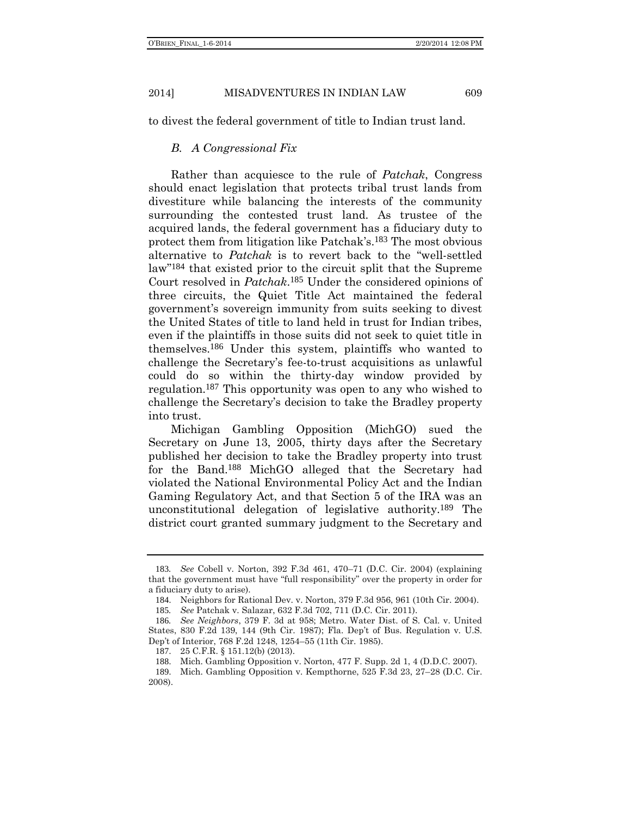to divest the federal government of title to Indian trust land.

## *B. A Congressional Fix*

Rather than acquiesce to the rule of *Patchak*, Congress should enact legislation that protects tribal trust lands from divestiture while balancing the interests of the community surrounding the contested trust land. As trustee of the acquired lands, the federal government has a fiduciary duty to protect them from litigation like Patchak's.183 The most obvious alternative to *Patchak* is to revert back to the "well-settled law" 184 that existed prior to the circuit split that the Supreme Court resolved in *Patchak*. 185 Under the considered opinions of three circuits, the Quiet Title Act maintained the federal government's sovereign immunity from suits seeking to divest the United States of title to land held in trust for Indian tribes, even if the plaintiffs in those suits did not seek to quiet title in themselves.186 Under this system, plaintiffs who wanted to challenge the Secretary's fee-to-trust acquisitions as unlawful could do so within the thirty-day window provided by regulation.187 This opportunity was open to any who wished to challenge the Secretary's decision to take the Bradley property into trust.

Michigan Gambling Opposition (MichGO) sued the Secretary on June 13, 2005, thirty days after the Secretary published her decision to take the Bradley property into trust for the Band.188 MichGO alleged that the Secretary had violated the National Environmental Policy Act and the Indian Gaming Regulatory Act, and that Section 5 of the IRA was an unconstitutional delegation of legislative authority.189 The district court granted summary judgment to the Secretary and

<sup>183</sup>*. See* Cobell v. Norton, 392 F.3d 461, 470–71 (D.C. Cir. 2004) (explaining that the government must have "full responsibility" over the property in order for a fiduciary duty to arise).

<sup>184</sup>. Neighbors for Rational Dev. v. Norton, 379 F.3d 956, 961 (10th Cir. 2004).

<sup>185</sup>*. See* Patchak v. Salazar, 632 F.3d 702, 711 (D.C. Cir. 2011).

<sup>186</sup>*. See Neighbors*, 379 F. 3d at 958; Metro. Water Dist. of S. Cal. v. United States, 830 F.2d 139, 144 (9th Cir. 1987); Fla. Dep't of Bus. Regulation v. U.S. Dep't of Interior, 768 F.2d 1248, 1254–55 (11th Cir. 1985).

<sup>187</sup>. 25 C.F.R. § 151.12(b) (2013).

<sup>188</sup>. Mich. Gambling Opposition v. Norton, 477 F. Supp. 2d 1, 4 (D.D.C. 2007).

<sup>189</sup>. Mich. Gambling Opposition v. Kempthorne, 525 F.3d 23, 27–28 (D.C. Cir. 2008).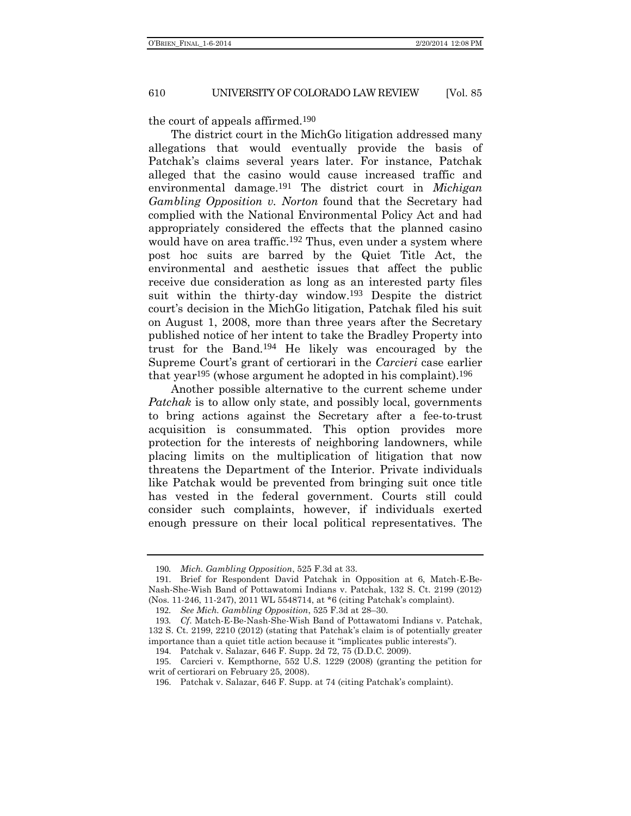the court of appeals affirmed.190

The district court in the MichGo litigation addressed many allegations that would eventually provide the basis of Patchak's claims several years later. For instance, Patchak alleged that the casino would cause increased traffic and environmental damage.191 The district court in *Michigan Gambling Opposition v. Norton* found that the Secretary had complied with the National Environmental Policy Act and had appropriately considered the effects that the planned casino would have on area traffic.<sup>192</sup> Thus, even under a system where post hoc suits are barred by the Quiet Title Act, the environmental and aesthetic issues that affect the public receive due consideration as long as an interested party files suit within the thirty-day window.193 Despite the district court's decision in the MichGo litigation, Patchak filed his suit on August 1, 2008, more than three years after the Secretary published notice of her intent to take the Bradley Property into trust for the Band.194 He likely was encouraged by the Supreme Court's grant of certiorari in the *Carcieri* case earlier that year<sup>195</sup> (whose argument he adopted in his complaint).<sup>196</sup>

Another possible alternative to the current scheme under *Patchak* is to allow only state, and possibly local, governments to bring actions against the Secretary after a fee-to-trust acquisition is consummated. This option provides more protection for the interests of neighboring landowners, while placing limits on the multiplication of litigation that now threatens the Department of the Interior. Private individuals like Patchak would be prevented from bringing suit once title has vested in the federal government. Courts still could consider such complaints, however, if individuals exerted enough pressure on their local political representatives. The

<sup>190</sup>*. Mich. Gambling Opposition*, 525 F.3d at 33.

<sup>191</sup>. Brief for Respondent David Patchak in Opposition at 6, Match-E-Be-Nash-She-Wish Band of Pottawatomi Indians v. Patchak, 132 S. Ct. 2199 (2012) (Nos. 11-246, 11-247), 2011 WL 5548714, at \*6 (citing Patchak's complaint).

<sup>192</sup>*. See Mich. Gambling Opposition*, 525 F.3d at 28–30.

<sup>193</sup>*. Cf*. Match-E-Be-Nash-She-Wish Band of Pottawatomi Indians v. Patchak, 132 S. Ct. 2199, 2210 (2012) (stating that Patchak's claim is of potentially greater importance than a quiet title action because it "implicates public interests").

<sup>194</sup>. Patchak v. Salazar, 646 F. Supp. 2d 72, 75 (D.D.C. 2009).

<sup>195</sup>. Carcieri v. Kempthorne, 552 U.S. 1229 (2008) (granting the petition for writ of certiorari on February 25, 2008).

<sup>196</sup>. Patchak v. Salazar, 646 F. Supp. at 74 (citing Patchak's complaint).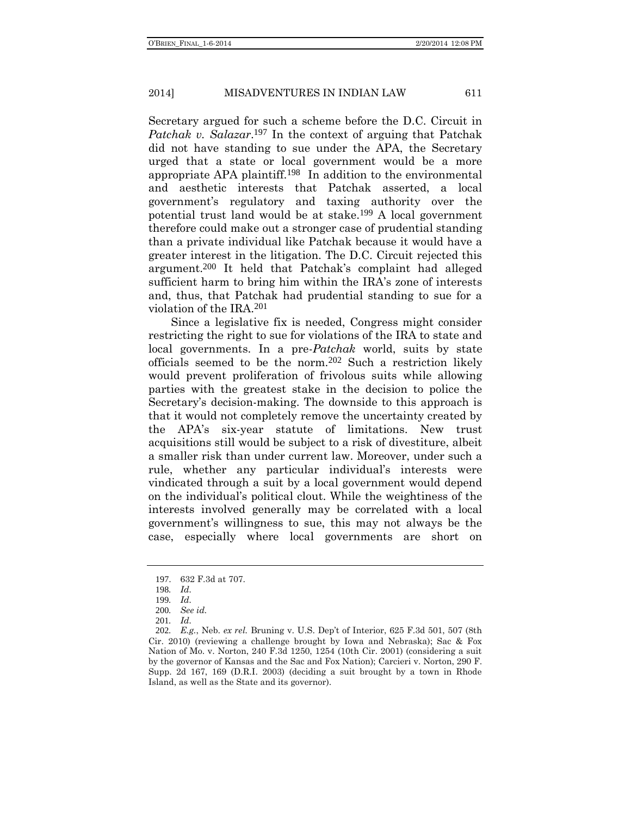Secretary argued for such a scheme before the D.C. Circuit in *Patchak v. Salazar*. 197 In the context of arguing that Patchak did not have standing to sue under the APA, the Secretary urged that a state or local government would be a more appropriate APA plaintiff.198 In addition to the environmental and aesthetic interests that Patchak asserted, a local government's regulatory and taxing authority over the potential trust land would be at stake.199 A local government therefore could make out a stronger case of prudential standing than a private individual like Patchak because it would have a greater interest in the litigation. The D.C. Circuit rejected this argument.200 It held that Patchak's complaint had alleged sufficient harm to bring him within the IRA's zone of interests and, thus, that Patchak had prudential standing to sue for a violation of the IRA.201

Since a legislative fix is needed, Congress might consider restricting the right to sue for violations of the IRA to state and local governments. In a pre-*Patchak* world, suits by state officials seemed to be the norm.202 Such a restriction likely would prevent proliferation of frivolous suits while allowing parties with the greatest stake in the decision to police the Secretary's decision-making. The downside to this approach is that it would not completely remove the uncertainty created by the APA's six-year statute of limitations. New trust acquisitions still would be subject to a risk of divestiture, albeit a smaller risk than under current law. Moreover, under such a rule, whether any particular individual's interests were vindicated through a suit by a local government would depend on the individual's political clout. While the weightiness of the interests involved generally may be correlated with a local government's willingness to sue, this may not always be the case, especially where local governments are short on

<sup>197</sup>. 632 F.3d at 707.

<sup>198</sup>*. Id.*

<sup>199</sup>*. Id.*

<sup>200</sup>*. See id.*

<sup>201</sup>*. Id.*

<sup>202</sup>*. E.g.*, Neb. *ex rel.* Bruning v. U.S. Dep't of Interior, 625 F.3d 501, 507 (8th Cir. 2010) (reviewing a challenge brought by Iowa and Nebraska); Sac & Fox Nation of Mo. v. Norton, 240 F.3d 1250, 1254 (10th Cir. 2001) (considering a suit by the governor of Kansas and the Sac and Fox Nation); Carcieri v. Norton, 290 F. Supp. 2d 167, 169 (D.R.I. 2003) (deciding a suit brought by a town in Rhode Island, as well as the State and its governor).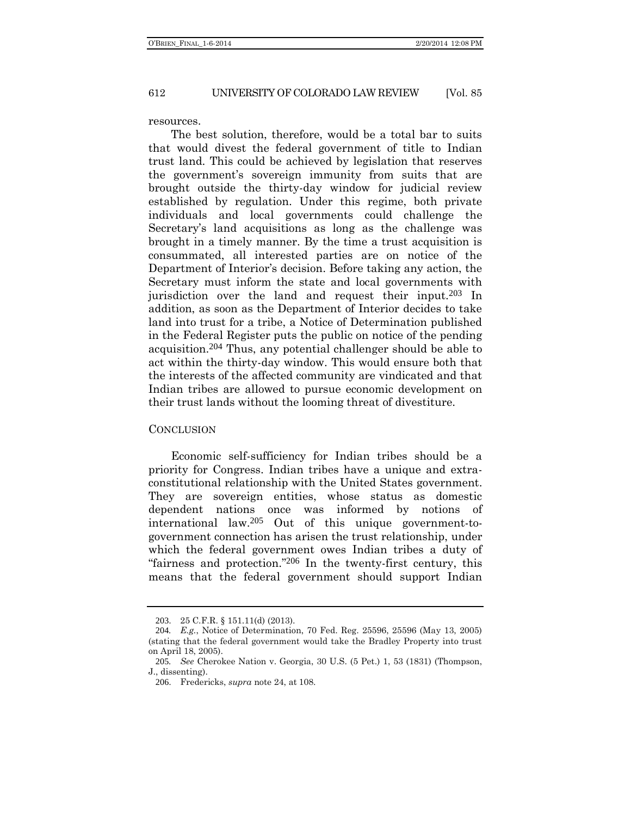resources.

The best solution, therefore, would be a total bar to suits that would divest the federal government of title to Indian trust land. This could be achieved by legislation that reserves the government's sovereign immunity from suits that are brought outside the thirty-day window for judicial review established by regulation. Under this regime, both private individuals and local governments could challenge the Secretary's land acquisitions as long as the challenge was brought in a timely manner. By the time a trust acquisition is consummated, all interested parties are on notice of the Department of Interior's decision. Before taking any action, the Secretary must inform the state and local governments with jurisdiction over the land and request their input.203 In addition, as soon as the Department of Interior decides to take land into trust for a tribe, a Notice of Determination published in the Federal Register puts the public on notice of the pending acquisition.204 Thus, any potential challenger should be able to act within the thirty-day window. This would ensure both that the interests of the affected community are vindicated and that Indian tribes are allowed to pursue economic development on their trust lands without the looming threat of divestiture.

#### **CONCLUSION**

Economic self-sufficiency for Indian tribes should be a priority for Congress. Indian tribes have a unique and extraconstitutional relationship with the United States government. They are sovereign entities, whose status as domestic dependent nations once was informed by notions of international law.205 Out of this unique government-togovernment connection has arisen the trust relationship, under which the federal government owes Indian tribes a duty of "fairness and protection." 206 In the twenty-first century, this means that the federal government should support Indian

<sup>203</sup>. 25 C.F.R. § 151.11(d) (2013).

<sup>204</sup>*. E.g.*, Notice of Determination, 70 Fed. Reg. 25596, 25596 (May 13, 2005) (stating that the federal government would take the Bradley Property into trust on April 18, 2005).

<sup>205</sup>*. See* Cherokee Nation v. Georgia, 30 U.S. (5 Pet.) 1, 53 (1831) (Thompson, J., dissenting).

<sup>206</sup>. Fredericks, *supra* note [24,](#page-5-0) at 108.